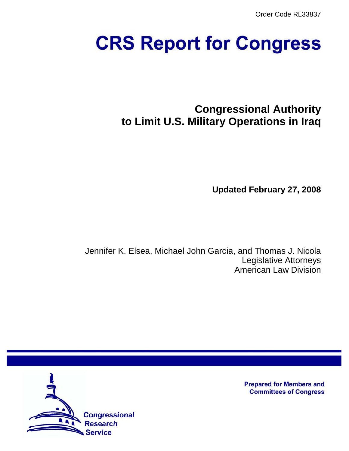Order Code RL33837

# **CRS Report for Congress**

# **Congressional Authority to Limit U.S. Military Operations in Iraq**

**Updated February 27, 2008**

Jennifer K. Elsea, Michael John Garcia, and Thomas J. Nicola Legislative Attorneys American Law Division



**Prepared for Members and Committees of Congress**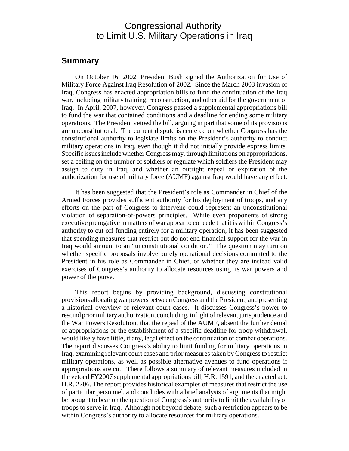## Congressional Authority to Limit U.S. Military Operations in Iraq

## **Summary**

On October 16, 2002, President Bush signed the Authorization for Use of Military Force Against Iraq Resolution of 2002. Since the March 2003 invasion of Iraq, Congress has enacted appropriation bills to fund the continuation of the Iraq war, including military training, reconstruction, and other aid for the government of Iraq. In April, 2007, however, Congress passed a supplemental appropriations bill to fund the war that contained conditions and a deadline for ending some military operations. The President vetoed the bill, arguing in part that some of its provisions are unconstitutional. The current dispute is centered on whether Congress has the constitutional authority to legislate limits on the President's authority to conduct military operations in Iraq, even though it did not initially provide express limits. Specific issues include whether Congress may, through limitations on appropriations, set a ceiling on the number of soldiers or regulate which soldiers the President may assign to duty in Iraq, and whether an outright repeal or expiration of the authorization for use of military force (AUMF) against Iraq would have any effect.

It has been suggested that the President's role as Commander in Chief of the Armed Forces provides sufficient authority for his deployment of troops, and any efforts on the part of Congress to intervene could represent an unconstitutional violation of separation-of-powers principles. While even proponents of strong executive prerogative in matters of war appear to concede that it is within Congress's authority to cut off funding entirely for a military operation, it has been suggested that spending measures that restrict but do not end financial support for the war in Iraq would amount to an "unconstitutional condition." The question may turn on whether specific proposals involve purely operational decisions committed to the President in his role as Commander in Chief, or whether they are instead valid exercises of Congress's authority to allocate resources using its war powers and power of the purse.

This report begins by providing background, discussing constitutional provisions allocating war powers between Congress and the President, and presenting a historical overview of relevant court cases. It discusses Congress's power to rescind prior military authorization, concluding, in light of relevant jurisprudence and the War Powers Resolution, that the repeal of the AUMF, absent the further denial of appropriations or the establishment of a specific deadline for troop withdrawal, would likely have little, if any, legal effect on the continuation of combat operations. The report discusses Congress's ability to limit funding for military operations in Iraq, examining relevant court cases and prior measures taken by Congress to restrict military operations, as well as possible alternative avenues to fund operations if appropriations are cut. There follows a summary of relevant measures included in the vetoed FY2007 supplemental appropriations bill, H.R. 1591, and the enacted act, H.R. 2206. The report provides historical examples of measures that restrict the use of particular personnel, and concludes with a brief analysis of arguments that might be brought to bear on the question of Congress's authority to limit the availability of troops to serve in Iraq. Although not beyond debate, such a restriction appears to be within Congress's authority to allocate resources for military operations.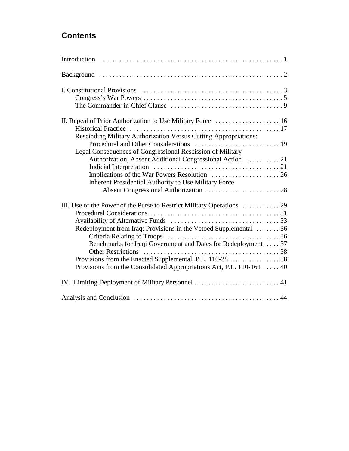## **Contents**

| II. Repeal of Prior Authorization to Use Military Force  16                                                                    |
|--------------------------------------------------------------------------------------------------------------------------------|
| Rescinding Military Authorization Versus Cutting Appropriations:<br>Legal Consequences of Congressional Rescission of Military |
| Authorization, Absent Additional Congressional Action  21                                                                      |
| Inherent Presidential Authority to Use Military Force                                                                          |
|                                                                                                                                |
|                                                                                                                                |
| Redeployment from Iraq: Provisions in the Vetoed Supplemental 36                                                               |
| Benchmarks for Iraqi Government and Dates for Redeployment  37                                                                 |
|                                                                                                                                |
| Provisions from the Consolidated Appropriations Act, P.L. 110-161  40                                                          |
| IV. Limiting Deployment of Military Personnel  41                                                                              |
|                                                                                                                                |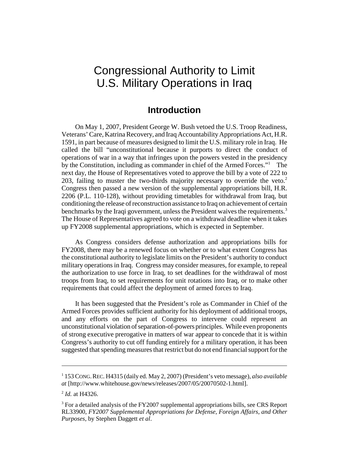## Congressional Authority to Limit U.S. Military Operations in Iraq

## **Introduction**

On May 1, 2007, President George W. Bush vetoed the U.S. Troop Readiness, Veterans' Care, Katrina Recovery, and Iraq Accountability Appropriations Act, H.R. 1591, in part because of measures designed to limit the U.S. military role in Iraq. He called the bill "unconstitutional because it purports to direct the conduct of operations of war in a way that infringes upon the powers vested in the presidency by the Constitution, including as commander in chief of the Armed Forces."<sup>1</sup> The next day, the House of Representatives voted to approve the bill by a vote of 222 to 203, failing to muster the two-thirds majority necessary to override the veto.<sup>2</sup> Congress then passed a new version of the supplemental appropriations bill, H.R. 2206 (P.L. 110-128), without providing timetables for withdrawal from Iraq, but conditioning the release of reconstruction assistance to Iraq on achievement of certain benchmarks by the Iraqi government, unless the President waives the requirements.<sup>3</sup> The House of Representatives agreed to vote on a withdrawal deadline when it takes up FY2008 supplemental appropriations, which is expected in September.

As Congress considers defense authorization and appropriations bills for FY2008, there may be a renewed focus on whether or to what extent Congress has the constitutional authority to legislate limits on the President's authority to conduct military operations in Iraq. Congress may consider measures, for example, to repeal the authorization to use force in Iraq, to set deadlines for the withdrawal of most troops from Iraq, to set requirements for unit rotations into Iraq, or to make other requirements that could affect the deployment of armed forces to Iraq.

It has been suggested that the President's role as Commander in Chief of the Armed Forces provides sufficient authority for his deployment of additional troops, and any efforts on the part of Congress to intervene could represent an unconstitutional violation of separation-of-powers principles. While even proponents of strong executive prerogative in matters of war appear to concede that it is within Congress's authority to cut off funding entirely for a military operation, it has been suggested that spending measures that restrict but do not end financial support for the

<sup>1</sup> 153 CONG. REC. H4315 (daily ed. May 2, 2007) (President's veto message), *also available at* [http://www.whitehouse.gov/news/releases/2007/05/20070502-1.html].

<sup>2</sup> *Id.* at H4326.

<sup>&</sup>lt;sup>3</sup> For a detailed analysis of the FY2007 supplemental appropriations bills, see CRS Report RL33900, *FY2007 Supplemental Appropriations for Defense, Foreign Affairs, and Other Purposes*, by Stephen Daggett *et al*.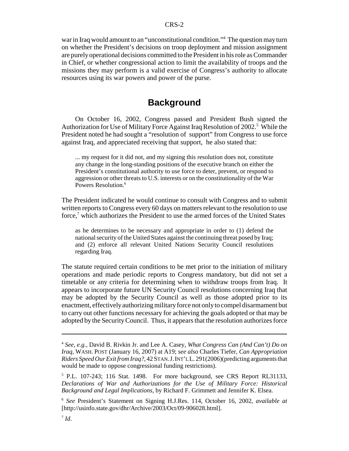war in Iraq would amount to an "unconstitutional condition."<sup>4</sup> The question may turn on whether the President's decisions on troop deployment and mission assignment are purely operational decisions committed to the President in his role as Commander in Chief, or whether congressional action to limit the availability of troops and the missions they may perform is a valid exercise of Congress's authority to allocate resources using its war powers and power of the purse.

## **Background**

On October 16, 2002, Congress passed and President Bush signed the Authorization for Use of Military Force Against Iraq Resolution of 2002.<sup>5</sup> While the President noted he had sought a "resolution of support" from Congress to use force against Iraq, and appreciated receiving that support, he also stated that:

... my request for it did not, and my signing this resolution does not, constitute any change in the long-standing positions of the executive branch on either the President's constitutional authority to use force to deter, prevent, or respond to aggression or other threats to U.S. interests or on the constitutionality of the War Powers Resolution.<sup>6</sup>

The President indicated he would continue to consult with Congress and to submit written reports to Congress every 60 days on matters relevant to the resolution to use force,<sup>7</sup> which authorizes the President to use the armed forces of the United States

as he determines to be necessary and appropriate in order to (1) defend the national security of the United States against the continuing threat posed by Iraq; and (2) enforce all relevant United Nations Security Council resolutions regarding Iraq.

The statute required certain conditions to be met prior to the initiation of military operations and made periodic reports to Congress mandatory, but did not set a timetable or any criteria for determining when to withdraw troops from Iraq. It appears to incorporate future UN Security Council resolutions concerning Iraq that may be adopted by the Security Council as well as those adopted prior to its enactment, effectively authorizing military force not only to compel disarmament but to carry out other functions necessary for achieving the goals adopted or that may be adopted by the Security Council. Thus, it appears that the resolution authorizes force

<sup>4</sup> *See, e.g.,* David B. Rivkin Jr. and Lee A. Casey, *What Congress Can (And Can't) Do on Iraq*, WASH. POST (January 16, 2007) at A19; *see also* Charles Tiefer, *Can Appropriation Riders Speed Our Exit from Iraq?*, 42 STAN.J.INT'LL. 291(2006)(predicting arguments that would be made to oppose congressional funding restrictions).

<sup>5</sup> P.L. 107-243; 116 Stat. 1498. For more background, see CRS Report RL31133, *Declarations of War and Authorizations for the Use of Military Force: Historical Background and Legal Implications*, by Richard F. Grimmett and Jennifer K. Elsea.

<sup>6</sup> *See* President's Statement on Signing H.J.Res. 114, October 16, 2002, *available at* [http://usinfo.state.gov/dhr/Archive/2003/Oct/09-906028.html].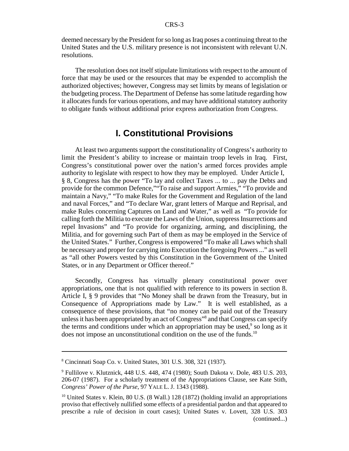deemed necessary by the President for so long as Iraq poses a continuing threat to the United States and the U.S. military presence is not inconsistent with relevant U.N. resolutions.

The resolution does not itself stipulate limitations with respect to the amount of force that may be used or the resources that may be expended to accomplish the authorized objectives; however, Congress may set limits by means of legislation or the budgeting process. The Department of Defense has some latitude regarding how it allocates funds for various operations, and may have additional statutory authority to obligate funds without additional prior express authorization from Congress.

## **I. Constitutional Provisions**

At least two arguments support the constitutionality of Congress's authority to limit the President's ability to increase or maintain troop levels in Iraq. First, Congress's constitutional power over the nation's armed forces provides ample authority to legislate with respect to how they may be employed. Under Article I, § 8, Congress has the power "To lay and collect Taxes ... to ... pay the Debts and provide for the common Defence,""To raise and support Armies," "To provide and maintain a Navy," "To make Rules for the Government and Regulation of the land and naval Forces," and "To declare War, grant letters of Marque and Reprisal, and make Rules concerning Captures on Land and Water," as well as "To provide for calling forth the Militia to execute the Laws of the Union, suppress Insurrections and repel Invasions" and "To provide for organizing, arming, and disciplining, the Militia, and for governing such Part of them as may be employed in the Service of the United States." Further, Congress is empowered "To make all Laws which shall be necessary and proper for carrying into Execution the foregoing Powers ..." as well as "all other Powers vested by this Constitution in the Government of the United States, or in any Department or Officer thereof."

Secondly, Congress has virtually plenary constitutional power over appropriations, one that is not qualified with reference to its powers in section 8. Article I, § 9 provides that "No Money shall be drawn from the Treasury, but in Consequence of Appropriations made by Law." It is well established, as a consequence of these provisions, that "no money can be paid out of the Treasury unless it has been appropriated by an act of Congress"<sup>8</sup> and that Congress can specify the terms and conditions under which an appropriation may be used, $9$  so long as it does not impose an unconstitutional condition on the use of the funds.<sup>10</sup>

<sup>8</sup> Cincinnati Soap Co. v. United States, 301 U.S. 308, 321 (1937).

<sup>9</sup> Fullilove v. Klutznick, 448 U.S. 448, 474 (1980); South Dakota v. Dole, 483 U.S. 203, 206-07 (1987). For a scholarly treatment of the Appropriations Clause, see Kate Stith, *Congress' Power of the Purse*, 97 YALE L. J. 1343 (1988).

 $10$  United States v. Klein, 80 U.S. (8 Wall.) 128 (1872) (holding invalid an appropriations proviso that effectively nullified some effects of a presidential pardon and that appeared to prescribe a rule of decision in court cases); United States v. Lovett, 328 U.S. 303 (continued...)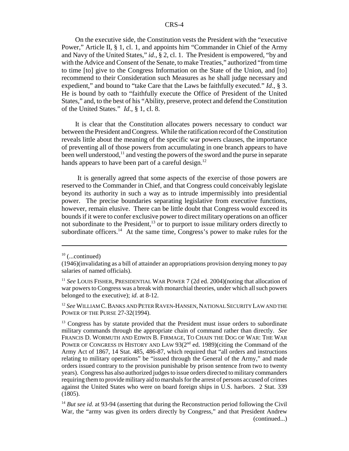On the executive side, the Constitution vests the President with the "executive Power," Article II, § 1, cl. 1, and appoints him "Commander in Chief of the Army and Navy of the United States," *id*., § 2, cl. 1. The President is empowered, "by and with the Advice and Consent of the Senate, to make Treaties," authorized "from time to time [to] give to the Congress Information on the State of the Union, and [to] recommend to their Consideration such Measures as he shall judge necessary and expedient," and bound to "take Care that the Laws be faithfully executed." *Id*., § 3. He is bound by oath to "faithfully execute the Office of President of the United States," and, to the best of his "Ability, preserve, protect and defend the Constitution of the United States." *Id*., § 1, cl. 8.

It is clear that the Constitution allocates powers necessary to conduct war between the President and Congress. While the ratification record of the Constitution reveals little about the meaning of the specific war powers clauses, the importance of preventing all of those powers from accumulating in one branch appears to have been well understood,<sup>11</sup> and vesting the powers of the sword and the purse in separate hands appears to have been part of a careful design.<sup>12</sup>

 It is generally agreed that some aspects of the exercise of those powers are reserved to the Commander in Chief, and that Congress could conceivably legislate beyond its authority in such a way as to intrude impermissibly into presidential power. The precise boundaries separating legislative from executive functions, however, remain elusive. There can be little doubt that Congress would exceed its bounds if it were to confer exclusive power to direct military operations on an officer not subordinate to the President, $13$  or to purport to issue military orders directly to subordinate officers.<sup>14</sup> At the same time, Congress's power to make rules for the

<sup>12</sup> *See* WILLIAM C. BANKS AND PETER RAVEN-HANSEN, NATIONAL SECURITY LAW AND THE POWER OF THE PURSE 27-32(1994).

 $10$  (...continued)

<sup>(1946)(</sup>invalidating as a bill of attainder an appropriations provision denying money to pay salaries of named officials).

<sup>11</sup> *See* LOUIS FISHER, PRESIDENTIAL WAR POWER 7 (2d ed. 2004)(noting that allocation of war powers to Congress was a break with monarchial theories, under which all such powers belonged to the executive); *id*. at 8-12.

<sup>&</sup>lt;sup>13</sup> Congress has by statute provided that the President must issue orders to subordinate military commands through the appropriate chain of command rather than directly. *See* FRANCIS D. WORMUTH AND EDWIN B. FIRMAGE, TO CHAIN THE DOG OF WAR: THE WAR POWER OF CONGRESS IN HISTORY AND LAW 93(2<sup>nd</sup> ed. 1989)(citing the Command of the Army Act of 1867, 14 Stat. 485, 486-87, which required that "all orders and instructions relating to military operations" be "issued through the General of the Army," and made orders issued contrary to the provision punishable by prison sentence from two to twenty years). Congress has also authorized judges to issue orders directed to military commanders requiring them to provide military aid to marshals for the arrest of persons accused of crimes against the United States who were on board foreign ships in U.S. harbors. 2 Stat. 339 (1805).

<sup>&</sup>lt;sup>14</sup> *But see id.* at 93-94 (asserting that during the Reconstruction period following the Civil War, the "army was given its orders directly by Congress," and that President Andrew (continued...)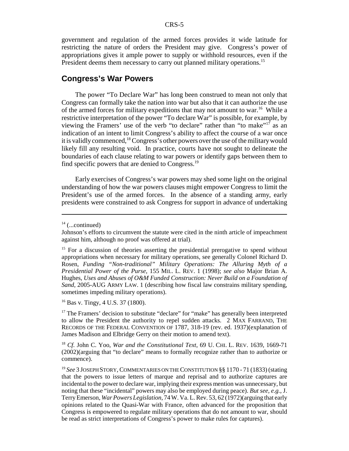government and regulation of the armed forces provides it wide latitude for restricting the nature of orders the President may give. Congress's power of appropriations gives it ample power to supply or withhold resources, even if the President deems them necessary to carry out planned military operations.<sup>15</sup>

## **Congress's War Powers**

The power "To Declare War" has long been construed to mean not only that Congress can formally take the nation into war but also that it can authorize the use of the armed forces for military expeditions that may not amount to war.16 While a restrictive interpretation of the power "To declare War" is possible, for example, by viewing the Framers' use of the verb "to declare" rather than "to make"<sup>17</sup> as an indication of an intent to limit Congress's ability to affect the course of a war once it is validly commenced,<sup>18</sup> Congress's other powers over the use of the military would likely fill any resulting void. In practice, courts have not sought to delineate the boundaries of each clause relating to war powers or identify gaps between them to find specific powers that are denied to Congress.19

Early exercises of Congress's war powers may shed some light on the original understanding of how the war powers clauses might empower Congress to limit the President's use of the armed forces. In the absence of a standing army, early presidents were constrained to ask Congress for support in advance of undertaking

16 Bas v. Tingy, 4 U.S. 37 (1800).

<sup>17</sup> The Framers' decision to substitute "declare" for "make" has generally been interpreted to allow the President the authority to repel sudden attacks. 2 MAX FARRAND, THE RECORDS OF THE FEDERAL CONVENTION OF 1787, 318-19 (rev. ed. 1937)(explanation of James Madison and Elbridge Gerry on their motion to amend text).

<sup>18</sup> *Cf.* John C. Yoo, *War and the Constitutional Text*, 69 U. CHI. L. REV. 1639, 1669-71 (2002)(arguing that "to declare" means to formally recognize rather than to authorize or commence).

 $14$  (...continued)

Johnson's efforts to circumvent the statute were cited in the ninth article of impeachment against him, although no proof was offered at trial).

<sup>&</sup>lt;sup>15</sup> For a discussion of theories asserting the presidential prerogative to spend without appropriations when necessary for military operations, see generally Colonel Richard D. Rosen, *Funding "Non-traditional" Military Operations: The Alluring Myth of a Presidential Power of the Purse*, 155 MIL. L. REV. 1 (1998); *see also* Major Brian A. Hughes, *Uses and Abuses of O&M Funded Construction: Never Build on a Foundation of Sand*, 2005-AUG ARMY LAW. 1 (describing how fiscal law constrains military spending, sometimes impeding military operations).

<sup>&</sup>lt;sup>19</sup> See 3 JOSEPH STORY, COMMENTARIES ON THE CONSTITUTION §§ 1170 - 71 (1833) (stating that the powers to issue letters of marque and reprisal and to authorize captures are incidental to the power to declare war, implying their express mention was unnecessary, but noting that these "incidental" powers may also be employed during peace). *But see, e.g.*, J. Terry Emerson, *War Powers Legislation*, 74 W. Va. L. Rev. 53, 62 (1972)(arguing that early opinions related to the Quasi-War with France, often advanced for the proposition that Congress is empowered to regulate military operations that do not amount to war, should be read as strict interpretations of Congress's power to make rules for captures).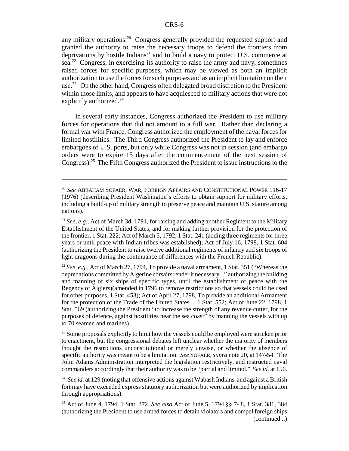any military operations.<sup>20</sup> Congress generally provided the requested support and granted the authority to raise the necessary troops to defend the frontiers from deprivations by hostile Indians<sup>21</sup> and to build a navy to protect U.S. commerce at sea.<sup>22</sup> Congress, in exercising its authority to raise the army and navy, sometimes raised forces for specific purposes, which may be viewed as both an implicit authorization to use the forces for such purposes and as an implicit limitation on their use.<sup>23</sup> On the other hand, Congress often delegated broad discretion to the President within those limits, and appears to have acquiesced to military actions that were not explicitly authorized.<sup>24</sup>

In several early instances, Congress authorized the President to use military forces for operations that did not amount to a full war. Rather than declaring a formal war with France, Congress authorized the employment of the naval forces for limited hostilities. The Third Congress authorized the President to lay and enforce embargoes of U.S. ports, but only while Congress was not in session (and embargo orders were to expire 15 days after the commencement of the next session of Congress).25 The Fifth Congress authorized the President to issue instructions to the

<sup>20</sup> *See* ABRAHAM SOFAER, WAR, FOREIGN AFFAIRS AND CONSTITUTIONAL POWER 116-17 (1976) (describing President Washington's efforts to obtain support for military efforts, including a build-up of military strength to preserve peace and maintain U.S. stature among nations).

<sup>21</sup> *See*, *e.g.*, Act of March 3d, 1791, for raising and adding another Regiment to the Military Establishment of the United States, and for making further provision for the protection of the frontier, 1 Stat. 222; Act of March 5, 1792, 1 Stat. 241 (adding three regiments for three years or until peace with Indian tribes was established); Act of July 16, 1798, 1 Stat. 604 (authorizing the President to raise twelve additional regiments of infantry and six troops of light dragoons during the continuance of differences with the French Republic).

<sup>22</sup> *See*, *e.g.,* Act of March 27, 1794, To provide a naval armament, 1 Stat. 351 ("Whereas the depredations committed by Algerine corsairs render it necessary..." authorizing the building and manning of six ships of specific types, until the establishment of peace with the Regency of Algiers)(amended in 1796 to remove restrictions so that vessels could be used for other purposes, 1 Stat. 453); Act of April 27, 1798, To provide an additional Armament for the protection of the Trade of the United States..., 1 Stat. 552; Act of June 22, 1798, 1 Stat. 569 (authorizing the President "to increase the strength of any revenue cutter, for the purposes of defence, against hostilities near the sea coast" by manning the vessels with up to 70 seamen and marines).

<sup>&</sup>lt;sup>23</sup> Some proposals explicitly to limit how the vessels could be employed were stricken prior to enactment, but the congressional debates left unclear whether the majority of members thought the restrictions unconstitutional or merely unwise, or whether the absence of specific authority was meant to be a limitation. *See* SOFAER, *supra* note 20, at 147-54. The John Adams Administration interpreted the legislation restrictively, and instructed naval commanders accordingly that their authority was to be "partial and limited." *See id.* at 156.

<sup>&</sup>lt;sup>24</sup> *See id.* at 129 (noting that offensive actions against Wabash Indians and against a British fort may have exceeded express statutory authorization but were authorized by implication through appropriations).

<sup>25</sup> Act of June 4, 1794, 1 Stat. 372. *See also* Act of June 5, 1794 §§ 7- 8, 1 Stat. 381, 384 (authorizing the President to use armed forces to detain violators and compel foreign ships (continued...)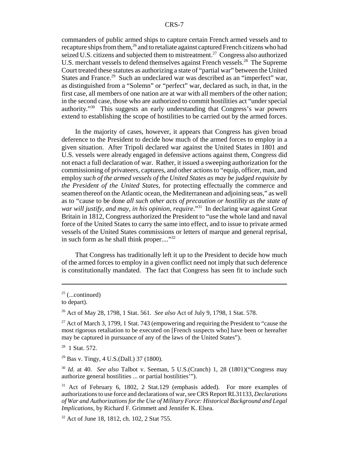commanders of public armed ships to capture certain French armed vessels and to recapture ships from them,<sup>26</sup> and to retaliate against captured French citizens who had seized U.S. citizens and subjected them to mistreatment.<sup>27</sup> Congress also authorized U.S. merchant vessels to defend themselves against French vessels.<sup>28</sup> The Supreme Court treated these statutes as authorizing a state of "partial war" between the United States and France.<sup>29</sup> Such an undeclared war was described as an "imperfect" war, as distinguished from a "Solemn" or "perfect" war, declared as such, in that, in the first case, all members of one nation are at war with all members of the other nation; in the second case, those who are authorized to commit hostilities act "under special authority."30 This suggests an early understanding that Congress's war powers extend to establishing the scope of hostilities to be carried out by the armed forces.

In the majority of cases, however, it appears that Congress has given broad deference to the President to decide how much of the armed forces to employ in a given situation. After Tripoli declared war against the United States in 1801 and U.S. vessels were already engaged in defensive actions against them, Congress did not enact a full declaration of war. Rather, it issued a sweeping authorization for the commissioning of privateers, captures, and other actions to "equip, officer, man, and employ *such of the armed vessels of the United States as may be judged requisite by the President of the United States*, for protecting effectually the commerce and seamen thereof on the Atlantic ocean, the Mediterranean and adjoining seas," as well as to "cause to be done *all such other acts of precaution or hostility as the state of war will justify, and may, in his opinion, require*."31 In declaring war against Great Britain in 1812, Congress authorized the President to "use the whole land and naval force of the United States to carry the same into effect, and to issue to private armed vessels of the United States commissions or letters of marque and general reprisal, in such form as he shall think proper...."<sup>32</sup>

That Congress has traditionally left it up to the President to decide how much of the armed forces to employ in a given conflict need not imply that such deference is constitutionally mandated. The fact that Congress has seen fit to include such

29 Bas v. Tingy, 4 U.S.(Dall.) 37 (1800).

<sup>30</sup> *Id*. at 40. *See also* Talbot v. Seeman, 5 U.S.(Cranch) 1, 28 (1801)("Congress may authorize general hostilities ... or partial hostilities'").

 $25$  (...continued)

to depart).

<sup>26</sup> Act of May 28, 1798, 1 Stat. 561. *See also* Act of July 9, 1798, 1 Stat. 578.

<sup>&</sup>lt;sup>27</sup> Act of March 3, 1799, 1 Stat. 743 (empowering and requiring the President to "cause the most rigorous retaliation to be executed on [French suspects who] have been or hereafter may be captured in pursuance of any of the laws of the United States").

<sup>28 1</sup> Stat. 572.

<sup>&</sup>lt;sup>31</sup> Act of February 6, 1802, 2 Stat.129 (emphasis added). For more examples of authorizations to use force and declarations of war, see CRS Report RL31133, *Declarations of War and Authorizations for the Use of Military Force: Historical Background and Legal Implications*, by Richard F. Grimmett and Jennifer K. Elsea.

<sup>32</sup> Act of June 18, 1812, ch. 102, 2 Stat 755.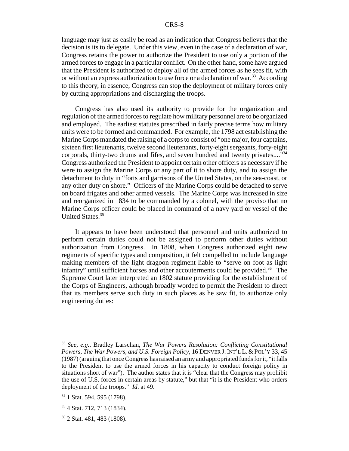language may just as easily be read as an indication that Congress believes that the decision is its to delegate. Under this view, even in the case of a declaration of war, Congress retains the power to authorize the President to use only a portion of the armed forces to engage in a particular conflict. On the other hand, some have argued that the President is authorized to deploy all of the armed forces as he sees fit, with or without an express authorization to use force or a declaration of war.<sup>33</sup> According to this theory, in essence, Congress can stop the deployment of military forces only by cutting appropriations and discharging the troops.

Congress has also used its authority to provide for the organization and regulation of the armed forces to regulate how military personnel are to be organized and employed. The earliest statutes prescribed in fairly precise terms how military units were to be formed and commanded. For example, the 1798 act establishing the Marine Corps mandated the raising of a corps to consist of "one major, four captains, sixteen first lieutenants, twelve second lieutenants, forty-eight sergeants, forty-eight corporals, thirty-two drums and fifes, and seven hundred and twenty privates...."34 Congress authorized the President to appoint certain other officers as necessary if he were to assign the Marine Corps or any part of it to shore duty, and to assign the detachment to duty in "forts and garrisons of the United States, on the sea-coast, or any other duty on shore." Officers of the Marine Corps could be detached to serve on board frigates and other armed vessels. The Marine Corps was increased in size and reorganized in 1834 to be commanded by a colonel, with the proviso that no Marine Corps officer could be placed in command of a navy yard or vessel of the United States.<sup>35</sup>

It appears to have been understood that personnel and units authorized to perform certain duties could not be assigned to perform other duties without authorization from Congress. In 1808, when Congress authorized eight new regiments of specific types and composition, it felt compelled to include language making members of the light dragoon regiment liable to "serve on foot as light infantry" until sufficient horses and other accouterments could be provided.<sup>36</sup> The Supreme Court later interpreted an 1802 statute providing for the establishment of the Corps of Engineers, although broadly worded to permit the President to direct that its members serve such duty in such places as he saw fit, to authorize only engineering duties:

<sup>33</sup> *See*, *e.g.*, Bradley Larschan, *The War Powers Resolution: Conflicting Constitutional Powers, The War Powers, and U.S. Foreign Policy,* 16 DENVER J. INT'L L. & POL'Y 33, 45 (1987) (arguing that once Congress has raised an army and appropriated funds for it, "it falls to the President to use the armed forces in his capacity to conduct foreign policy in situations short of war"). The author states that it is "clear that the Congress may prohibit the use of U.S. forces in certain areas by statute," but that "it is the President who orders deployment of the troops." *Id*. at 49.

<sup>34 1</sup> Stat. 594, 595 (1798).

<sup>35 4</sup> Stat. 712, 713 (1834).

<sup>36 2</sup> Stat. 481, 483 (1808).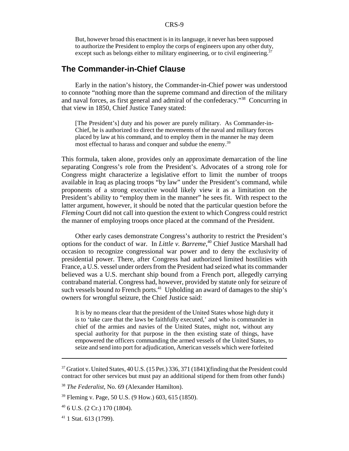But, however broad this enactment is in its language, it never has been supposed to authorize the President to employ the corps of engineers upon any other duty, except such as belongs either to military engineering, or to civil engineering.<sup>37</sup>

## **The Commander-in-Chief Clause**

Early in the nation's history, the Commander-in-Chief power was understood to connote "nothing more than the supreme command and direction of the military and naval forces, as first general and admiral of the confederacy."38 Concurring in that view in 1850, Chief Justice Taney stated:

[The President's] duty and his power are purely military. As Commander-in-Chief, he is authorized to direct the movements of the naval and military forces placed by law at his command, and to employ them in the manner he may deem most effectual to harass and conquer and subdue the enemy.<sup>39</sup>

This formula, taken alone, provides only an approximate demarcation of the line separating Congress's role from the President's. Advocates of a strong role for Congress might characterize a legislative effort to limit the number of troops available in Iraq as placing troops "by law" under the President's command, while proponents of a strong executive would likely view it as a limitation on the President's ability to "employ them in the manner" he sees fit. With respect to the latter argument, however, it should be noted that the particular question before the *Fleming* Court did not call into question the extent to which Congress could restrict the manner of employing troops once placed at the command of the President.

Other early cases demonstrate Congress's authority to restrict the President's options for the conduct of war. In *Little v. Barreme*, 40 Chief Justice Marshall had occasion to recognize congressional war power and to deny the exclusivity of presidential power. There, after Congress had authorized limited hostilities with France, a U.S. vessel under orders from the President had seized what its commander believed was a U.S. merchant ship bound from a French port, allegedly carrying contraband material. Congress had, however, provided by statute only for seizure of such vessels bound *to* French ports.<sup>41</sup> Upholding an award of damages to the ship's owners for wrongful seizure, the Chief Justice said:

It is by no means clear that the president of the United States whose high duty it is to 'take care that the laws be faithfully executed,' and who is commander in chief of the armies and navies of the United States, might not, without any special authority for that purpose in the then existing state of things, have empowered the officers commanding the armed vessels of the United States, to seize and send into port for adjudication, American vessels which were forfeited

<sup>&</sup>lt;sup>37</sup> Gratiot v. United States, 40 U.S. (15 Pet.) 336, 371 (1841)(finding that the President could contract for other services but must pay an additional stipend for them from other funds)

<sup>38</sup> *The Federalist*, No. 69 (Alexander Hamilton).

<sup>39</sup> Fleming v. Page, 50 U.S. (9 How.) 603, 615 (1850).

 $40$  6 U.S. (2 Cr.) 170 (1804).

<sup>41 1</sup> Stat. 613 (1799).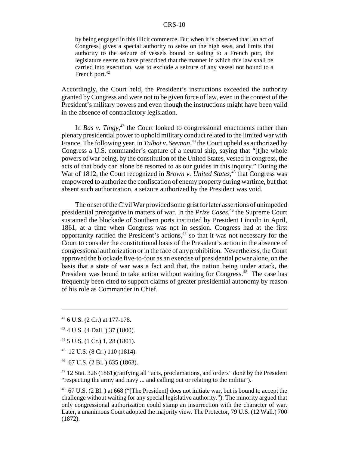by being engaged in this illicit commerce. But when it is observed that [an act of Congress] gives a special authority to seize on the high seas, and limits that authority to the seizure of vessels bound or sailing to a French port, the legislature seems to have prescribed that the manner in which this law shall be carried into execution, was to exclude a seizure of any vessel not bound to a French port.<sup>42</sup>

Accordingly, the Court held, the President's instructions exceeded the authority granted by Congress and were not to be given force of law, even in the context of the President's military powers and even though the instructions might have been valid in the absence of contradictory legislation.

In *Bas v. Tingy*<sup>43</sup>, the Court looked to congressional enactments rather than plenary presidential power to uphold military conduct related to the limited war with France. The following year, in *Talbot v. Seeman*,<sup>44</sup> the Court upheld as authorized by Congress a U.S. commander's capture of a neutral ship, saying that "[t]he whole powers of war being, by the constitution of the United States, vested in congress, the acts of that body can alone be resorted to as our guides in this inquiry." During the War of 1812, the Court recognized in *Brown v. United States*,<sup>45</sup> that Congress was empowered to authorize the confiscation of enemy property during wartime, but that absent such authorization, a seizure authorized by the President was void.

The onset of the Civil War provided some grist for later assertions of unimpeded presidential prerogative in matters of war. In the *Prize Cases*, 46 the Supreme Court sustained the blockade of Southern ports instituted by President Lincoln in April, 1861, at a time when Congress was not in session. Congress had at the first opportunity ratified the President's actions,  $47$  so that it was not necessary for the Court to consider the constitutional basis of the President's action in the absence of congressional authorization or in the face of any prohibition. Nevertheless, the Court approved the blockade five-to-four as an exercise of presidential power alone, on the basis that a state of war was a fact and that, the nation being under attack, the President was bound to take action without waiting for Congress.<sup>48</sup> The case has frequently been cited to support claims of greater presidential autonomy by reason of his role as Commander in Chief.

 $44$  5 U.S. (1 Cr.) 1, 28 (1801).

- 45 12 U.S. (8 Cr.) 110 (1814).
- 46 67 U.S. (2 Bl. ) 635 (1863).

 $47$  12 Stat. 326 (1861)(ratifying all "acts, proclamations, and orders" done by the President "respecting the army and navy ... and calling out or relating to the militia").

<sup>48</sup> 67 U.S. (2 Bl.) at 668 ("The President] does not initiate war, but is bound to accept the challenge without waiting for any special legislative authority."). The minority argued that only congressional authorization could stamp an insurrection with the character of war. Later, a unanimous Court adopted the majority view. The Protector, 79 U.S. (12 Wall.) 700 (1872).

 $42$  6 U.S. (2 Cr.) at 177-178.

<sup>43 4</sup> U.S. (4 Dall. ) 37 (1800).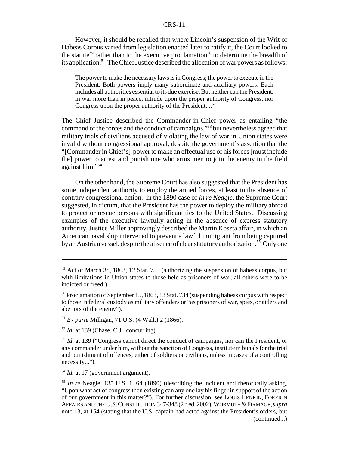However, it should be recalled that where Lincoln's suspension of the Writ of Habeas Corpus varied from legislation enacted later to ratify it, the Court looked to the statute<sup>49</sup> rather than to the executive proclamation<sup>50</sup> to determine the breadth of its application.51 The Chief Justice described the allocation of war powers as follows:

The power to make the necessary laws is in Congress; the power to execute in the President. Both powers imply many subordinate and auxiliary powers. Each includes all authorities essential to its due exercise. But neither can the President, in war more than in peace, intrude upon the proper authority of Congress, nor Congress upon the proper authority of the President....<sup>52</sup>

The Chief Justice described the Commander-in-Chief power as entailing "the command of the forces and the conduct of campaigns,"53 but nevertheless agreed that military trials of civilians accused of violating the law of war in Union states were invalid without congressional approval, despite the government's assertion that the "[Commander in Chief's] power to make an effectual use of his forces [must include the] power to arrest and punish one who arms men to join the enemy in the field against him."54

On the other hand, the Supreme Court has also suggested that the President has some independent authority to employ the armed forces, at least in the absence of contrary congressional action. In the 1890 case of *In re Neagle*, the Supreme Court suggested, in dictum, that the President has the power to deploy the military abroad to protect or rescue persons with significant ties to the United States. Discussing examples of the executive lawfully acting in the absence of express statutory authority, Justice Miller approvingly described the Martin Koszta affair, in which an American naval ship intervened to prevent a lawful immigrant from being captured by an Austrian vessel, despite the absence of clear statutory authorization.<sup>55</sup> Only one

<sup>49</sup> Act of March 3d, 1863, 12 Stat. 755 (authorizing the suspension of habeas corpus, but with limitations in Union states to those held as prisoners of war; all others were to be indicted or freed.)

<sup>&</sup>lt;sup>50</sup> Proclamation of September 15, 1863, 13 Stat. 734 (suspending habeas corpus with respect to those in federal custody as military offenders or "as prisoners of war, spies, or aiders and abettors of the enemy").

<sup>51</sup> *Ex parte* Milligan, 71 U.S. (4 Wall.) 2 (1866).

<sup>52</sup> *Id*. at 139 (Chase, C.J., concurring).

<sup>&</sup>lt;sup>53</sup> *Id.* at 139 ("Congress cannot direct the conduct of campaigns, nor can the President, or any commander under him, without the sanction of Congress, institute tribunals for the trial and punishment of offences, either of soldiers or civilians, unless in cases of a controlling necessity...").

<sup>&</sup>lt;sup>54</sup> *Id.* at 17 (government argument).

<sup>55</sup> *In re* Neagle, 135 U.S. 1, 64 (1890) (describing the incident and rhetorically asking, "Upon what act of congress then existing can any one lay his finger in support of the action of our government in this matter?"). For further discussion, see LOUIS HENKIN, FOREIGN AFFAIRS AND THE U.S.CONSTITUTION 347-348 (2nd ed. 2002);WORMUTH &FIRMAGE,*supra* note 13, at 154 (stating that the U.S. captain had acted against the President's orders, but (continued...)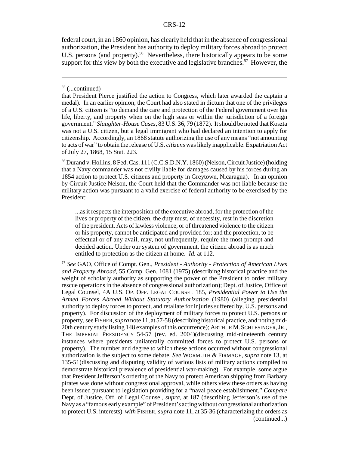federal court, in an 1860 opinion, has clearly held that in the absence of congressional authorization, the President has authority to deploy military forces abroad to protect U.S. persons (and property).<sup>56</sup> Nevertheless, there historically appears to be some support for this view by both the executive and legislative branches.<sup>57</sup> However, the

<sup>56</sup> Durand v. Hollins, 8 Fed. Cas. 111 (C.C.S.D.N.Y. 1860) (Nelson, Circuit Justice) (holding that a Navy commander was not civilly liable for damages caused by his forces during an 1854 action to protect U.S. citizens and property in Greytown, Nicaragua). In an opinion by Circuit Justice Nelson, the Court held that the Commander was not liable because the military action was pursuant to a valid exercise of federal authority to be exercised by the President:

...as it respects the interposition of the executive abroad, for the protection of the lives or property of the citizen, the duty must, of necessity, rest in the discretion of the president. Acts of lawless violence, or of threatened violence to the citizen or his property, cannot be anticipated and provided for; and the protection, to be effectual or of any avail, may, not unfrequently, require the most prompt and decided action. Under our system of government, the citizen abroad is as much entitled to protection as the citizen at home. *Id.* at 112.

<sup>57</sup> *See* GAO, Office of Compt. Gen., *President - Authority - Protection of American Lives and Property Abroad*, 55 Comp. Gen. 1081 (1975) (describing historical practice and the weight of scholarly authority as supporting the power of the President to order military rescue operations in the absence of congressional authorization); Dept. of Justice, Office of Legal Counsel, 4A U.S. OP. OFF. LEGAL COUNSEL 185, *Presidential Power to Use the Armed Forces Abroad Without Statutory Authorization* (1980) (alleging presidential authority to deploy forces to protect, and retaliate for injuries suffered by, U.S. persons and property). For discussion of the deployment of military forces to protect U.S. persons or property, see FISHER,*supra* note 11, at 57-58 (describing historical practice, and noting mid-20th century study listing 148 examples of this occurrence); ARTHURM. SCHLESINGER, JR., THE IMPERIAL PRESIDENCY 54-57 (rev. ed. 2004)(discussing mid-nineteenth century instances where presidents unilaterally committed forces to protect U.S. persons or property). The number and degree to which these actions occurred without congressional authorization is the subject to some debate. *See* WORMUTH & FIRMAGE, *supra* note 13, at 135-51(discussing and disputing validity of various lists of military actions compiled to demonstrate historical prevalence of presidential war-making). For example, some argue that President Jefferson's ordering of the Navy to protect American shipping from Barbary pirates was done without congressional approval, while others view these orders as having been issued pursuant to legislation providing for a "naval peace establishment." *Compare* Dept. of Justice, Off. of Legal Counsel, *supra*, at 187 (describing Jefferson's use of the Navy as a "famous early example" of President's acting without congressional authorization to protect U.S. interests) *with* FISHER, *supra* note 11, at 35-36 (characterizing the orders as (continued...)

 $55$  (...continued)

that President Pierce justified the action to Congress, which later awarded the captain a medal). In an earlier opinion, the Court had also stated in dictum that one of the privileges of a U.S. citizen is "to demand the care and protection of the Federal government over his life, liberty, and property when on the high seas or within the jurisdiction of a foreign government." *Slaughter-House Cases*, 83 U.S. 36, 79 (1872). It should be noted that Koszta was not a U.S. citizen, but a legal immigrant who had declared an intention to apply for citizenship. Accordingly, an 1868 statute authorizing the use of any means "not amounting to acts of war" to obtain the release of U.S. *citizens* was likely inapplicable. Expatriation Act of July 27, 1868, 15 Stat. 223.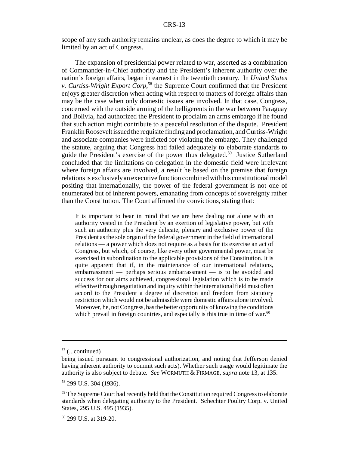scope of any such authority remains unclear, as does the degree to which it may be limited by an act of Congress.

The expansion of presidential power related to war, asserted as a combination of Commander-in-Chief authority and the President's inherent authority over the nation's foreign affairs, began in earnest in the twentieth century. In *United States v. Curtiss-Wright Export Corp*, 58 the Supreme Court confirmed that the President enjoys greater discretion when acting with respect to matters of foreign affairs than may be the case when only domestic issues are involved. In that case, Congress, concerned with the outside arming of the belligerents in the war between Paraguay and Bolivia, had authorized the President to proclaim an arms embargo if he found that such action might contribute to a peaceful resolution of the dispute. President Franklin Roosevelt issued the requisite finding and proclamation, and Curtiss-Wright and associate companies were indicted for violating the embargo. They challenged the statute, arguing that Congress had failed adequately to elaborate standards to guide the President's exercise of the power thus delegated.59 Justice Sutherland concluded that the limitations on delegation in the domestic field were irrelevant where foreign affairs are involved, a result he based on the premise that foreign relations is exclusively an executive function combined with his constitutional model positing that internationally, the power of the federal government is not one of enumerated but of inherent powers, emanating from concepts of sovereignty rather than the Constitution. The Court affirmed the convictions, stating that:

It is important to bear in mind that we are here dealing not alone with an authority vested in the President by an exertion of legislative power, but with such an authority plus the very delicate, plenary and exclusive power of the President as the sole organ of the federal government in the field of international relations — a power which does not require as a basis for its exercise an act of Congress, but which, of course, like every other governmental power, must be exercised in subordination to the applicable provisions of the Constitution. It is quite apparent that if, in the maintenance of our international relations, embarrassment — perhaps serious embarrassment — is to be avoided and success for our aims achieved, congressional legislation which is to be made effective through negotiation and inquiry within the international field must often accord to the President a degree of discretion and freedom from statutory restriction which would not be admissible were domestic affairs alone involved. Moreover, he, not Congress, has the better opportunity of knowing the conditions which prevail in foreign countries, and especially is this true in time of war. $60$ 

 $57$  (...continued)

being issued pursuant to congressional authorization, and noting that Jefferson denied having inherent authority to commit such acts). Whether such usage would legitimate the authority is also subject to debate. *See* WORMUTH & FIRMAGE, *supra* note 13, at 135.

<sup>58 299</sup> U.S. 304 (1936).

<sup>&</sup>lt;sup>59</sup> The Supreme Court had recently held that the Constitution required Congress to elaborate standards when delegating authority to the President. Schechter Poultry Corp. v. United States, 295 U.S. 495 (1935).

<sup>60 299</sup> U.S. at 319-20.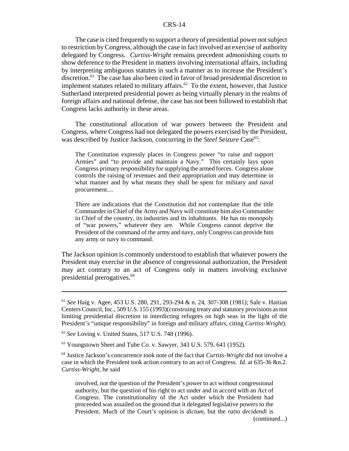The case is cited frequently to support a theory of presidential power not subject to restriction by Congress, although the case in fact involved an exercise of authority delegated by Congress. *Curtiss-Wright* remains precedent admonishing courts to show deference to the President in matters involving international affairs, including by interpreting ambiguous statutes in such a manner as to increase the President's discretion.<sup>61</sup> The case has also been cited in favor of broad presidential discretion to implement statutes related to military affairs. $62$  To the extent, however, that Justice Sutherland interpreted presidential power as being virtually plenary in the realms of foreign affairs and national defense, the case has not been followed to establish that Congress lacks authority in these areas.

The constitutional allocation of war powers between the President and Congress, where Congress had not delegated the powers exercised by the President, was described by Justice Jackson, concurring in the *Steel Seizure* Case<sup>63</sup>:

The Constitution expressly places in Congress power "to raise and support Armies" and "to provide and maintain a Navy." This certainly lays upon Congress primary responsibility for supplying the armed forces. Congress alone controls the raising of revenues and their appropriation and may determine in what manner and by what means they shall be spent for military and naval procurement....

There are indications that the Constitution did not contemplate that the title Commander in Chief of the Army and Navy will constitute him also Commander in Chief of the country, its industries and its inhabitants. He has no monopoly of "war powers," whatever they are. While Congress cannot deprive the President of the command of the army and navy, only Congress can provide him any army or navy to command.

The Jackson opinion is commonly understood to establish that whatever powers the President may exercise in the absence of congressional authorization, the President may act contrary to an act of Congress only in matters involving exclusive presidential prerogatives.<sup>64</sup>

(continued...)

<sup>61</sup> *See* Haig v. Agee, 453 U.S. 280, 291, 293-294 & n. 24, 307-308 (1981); Sale v. Haitian Centers Council, Inc., 509 U.S. 155 (1993)(construing treaty and statutory provisions as not limiting presidential discretion in interdicting refugees on high seas in the light of the President's "unique responsibility" in foreign and military affairs, citing *Curtiss-Wright*).

<sup>62</sup> *See* Loving v. United States, 517 U.S. 748 (1996).

<sup>&</sup>lt;sup>63</sup> Youngstown Sheet and Tube Co. v. Sawyer, 343 U.S. 579, 641 (1952).

<sup>64</sup> Justice Jackson's concurrence took note of the fact that *Curtiss-Wright* did not involve a case in which the President took action contrary to an act of Congress. *Id*. at 635-36 &n.2. *Curtiss-Wright*, he said

involved, not the question of the President's power to act without congressional authority, but the question of his right to act under and in accord with an Act of Congress. The constitutionality of the Act under which the President had proceeded was assailed on the ground that it delegated legislative powers to the President. Much of the Court's opinion is *dictum*, but the *ratio decidendi* is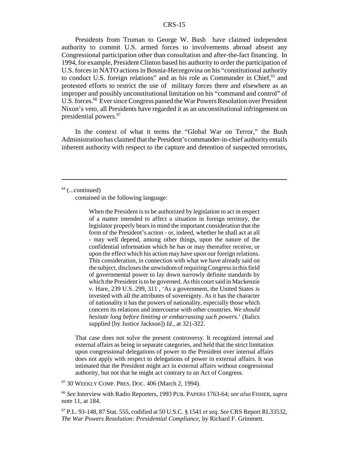Presidents from Truman to George W. Bush have claimed independent authority to commit U.S. armed forces to involvements abroad absent any Congressional participation other than consultation and after-the-fact financing. In 1994, for example, President Clinton based his authority to order the participation of U.S. forces in NATO actions in Bosnia-Herzegovina on his "constitutional authority to conduct U.S. foreign relations" and as his role as Commander in Chief,<sup>65</sup> and protested efforts to restrict the use of military forces there and elsewhere as an improper and possibly unconstitutional limitation on his "command and control" of U.S. forces.<sup>66</sup> Ever since Congress passed the War Powers Resolution over President Nixon's veto, all Presidents have regarded it as an unconstitutional infringement on presidential powers.67

In the context of what it terms the "Global War on Terror," the Bush Administration has claimed that the President's commander-in-chief authority entails inherent authority with respect to the capture and detention of suspected terrorists,

contained in the following language:

When the President is to be authorized by legislation to act in respect of a matter intended to affect a situation in foreign territory, the legislator properly bears in mind the important consideration that the form of the President's action - or, indeed, whether he shall act at all - may well depend, among other things, upon the nature of the confidential information which he has or may thereafter receive, or upon the effect which his action may have upon our foreign relations. This consideration, in connection with what we have already said on the subject, discloses the unwisdom of requiring Congress in this field of governmental power to lay down narrowly definite standards by which the President is to be governed. As this court said in Mackenzie v. Hare, 239 U.S. 299, 311 , 'As a government, the United States is invested with all the attributes of sovereignty. As it has the character of nationality it has the powers of nationality, especially those which concern its relations and intercourse with other countries. *We should hesitate long before limiting or embarrassing such powers*.' (Italics supplied [by Justice Jackson]) *Id.*, at 321-322.

That case does not solve the present controversy. It recognized internal and external affairs as being in separate categories, and held that the strict limitation upon congressional delegations of power to the President over internal affairs does not apply with respect to delegations of power in external affairs. It was intimated that the President might act in external affairs without congressional authority, but not that he might act contrary to an Act of Congress.

65 30 WEEKLY COMP. PRES. DOC. 406 (March 2, 1994).

<sup>66</sup> *See* Interview with Radio Reporters, 1993 PUB. PAPERS 1763-64; *see also* FISHER, *supra* note 11, at 184.

67 P.L. 93-148, 87 Stat. 555, codified at 50 U.S.C. § 1541 *et seq. See* CRS Report RL33532, *The War Powers Resolution: Presidential Compliance*, by Richard F. Grimmett.

 $64$  (...continued)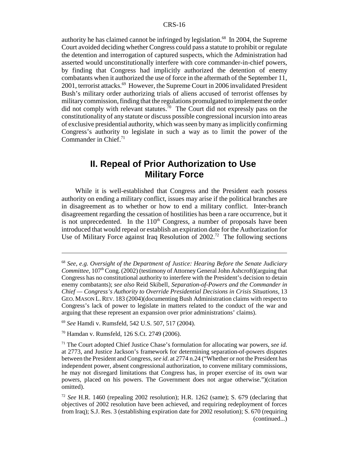authority he has claimed cannot be infringed by legislation.<sup>68</sup> In 2004, the Supreme Court avoided deciding whether Congress could pass a statute to prohibit or regulate the detention and interrogation of captured suspects, which the Administration had asserted would unconstitutionally interfere with core commander-in-chief powers, by finding that Congress had implicitly authorized the detention of enemy combatants when it authorized the use of force in the aftermath of the September 11, 2001, terrorist attacks.<sup>69</sup> However, the Supreme Court in 2006 invalidated President Bush's military order authorizing trials of aliens accused of terrorist offenses by military commission, finding that the regulations promulgated to implement the order did not comply with relevant statutes.<sup>70</sup> The Court did not expressly pass on the constitutionality of any statute or discuss possible congressional incursion into areas of exclusive presidential authority, which was seen by many as implicitly confirming Congress's authority to legislate in such a way as to limit the power of the Commander in Chief.<sup>71</sup>

## **II. Repeal of Prior Authorization to Use Military Force**

While it is well-established that Congress and the President each possess authority on ending a military conflict, issues may arise if the political branches are in disagreement as to whether or how to end a military conflict. Inter-branch disagreement regarding the cessation of hostilities has been a rare occurrence, but it is not unprecedented. In the  $110<sup>th</sup>$  Congress, a number of proposals have been introduced that would repeal or establish an expiration date for the Authorization for Use of Military Force against Iraq Resolution of  $2002<sup>72</sup>$  The following sections

<sup>68</sup> *See, e.g. Oversight of the Department of Justice: Hearing Before the Senate Judiciary Committee*, 107<sup>th</sup> Cong. (2002) (testimony of Attorney General John Ashcroft)(arguing that Congress has no constitutional authority to interfere with the President's decision to detain enemy combatants); *see also* Reid Skibell*, Separation-of-Powers and the Commander in Chief — Congress's Authority to Override Presidential Decisions in Crisis Situations*, 13 GEO. MASON L. REV. 183 (2004)(documenting Bush Administration claims with respect to Congress's lack of power to legislate in matters related to the conduct of the war and arguing that these represent an expansion over prior administrations' claims).

<sup>69</sup> *See* Hamdi v. Rumsfeld, 542 U.S. 507, 517 (2004).

<sup>70</sup> Hamdan v. Rumsfeld, 126 S.Ct. 2749 (2006).

<sup>71</sup> The Court adopted Chief Justice Chase's formulation for allocating war powers, *see id.* at 2773, and Justice Jackson's framework for determining separation-of-powers disputes between the President and Congress, *see id*. at 2774 n.24 ("Whether or not the President has independent power, absent congressional authorization, to convene military commissions, he may not disregard limitations that Congress has, in proper exercise of its own war powers, placed on his powers. The Government does not argue otherwise.")(citation omitted).

<sup>72</sup> *See* H.R. 1460 (repealing 2002 resolution); H.R. 1262 (same); S. 679 (declaring that objectives of 2002 resolution have been achieved, and requiring redeployment of forces from Iraq); S.J. Res. 3 (establishing expiration date for 2002 resolution); S. 670 (requiring (continued...)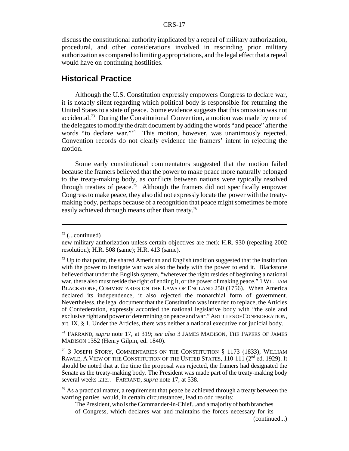discuss the constitutional authority implicated by a repeal of military authorization, procedural, and other considerations involved in rescinding prior military authorization as compared to limiting appropriations, and the legal effect that a repeal would have on continuing hostilities.

## **Historical Practice**

Although the U.S. Constitution expressly empowers Congress to declare war, it is notably silent regarding which political body is responsible for returning the United States to a state of peace. Some evidence suggests that this omission was not accidental.73 During the Constitutional Convention, a motion was made by one of the delegates to modify the draft document by adding the words "and peace" after the words "to declare war."<sup>74</sup> This motion, however, was unanimously rejected. Convention records do not clearly evidence the framers' intent in rejecting the motion.

Some early constitutional commentators suggested that the motion failed because the framers believed that the power to make peace more naturally belonged to the treaty-making body, as conflicts between nations were typically resolved through treaties of peace.<sup>75</sup> Although the framers did not specifically empower Congress to make peace, they also did not expressly locate the power with the treatymaking body, perhaps because of a recognition that peace might sometimes be more easily achieved through means other than treaty.<sup>76</sup>

(continued...)

 $72$  (...continued)

new military authorization unless certain objectives are met); H.R. 930 (repealing 2002 resolution); H.R. 508 (same); H.R. 413 (same).

 $<sup>73</sup>$  Up to that point, the shared American and English tradition suggested that the institution</sup> with the power to instigate war was also the body with the power to end it. Blackstone believed that under the English system, "wherever the right resides of beginning a national war, there also must reside the right of ending it, or the power of making peace." 1 WILLIAM BLACKSTONE, COMMENTARIES ON THE LAWS OF ENGLAND 250 (1756). When America declared its independence, it also rejected the monarchial form of government. Nevertheless, the legal document that the Constitution was intended to replace, the Articles of Confederation, expressly accorded the national legislative body with "the sole and exclusive right and power of determining on peace and war." ARTICLES OF CONFEDERATION, art. IX, § 1. Under the Articles, there was neither a national executive nor judicial body.

<sup>74</sup> FARRAND, *supra* note 17, at 319; *see also* 3JAMES MADISON, THE PAPERS OF JAMES MADISON 1352 (Henry Gilpin, ed. 1840).

<sup>75 3</sup> JOSEPH STORY, COMMENTARIES ON THE CONSTITUTION § 1173 (1833); WILLIAM RAWLE, A VIEW OF THE CONSTITUTION OF THE UNITED STATES,  $110-111$  ( $2<sup>nd</sup>$  ed. 1929). It should be noted that at the time the proposal was rejected, the framers had designated the Senate as the treaty-making body. The President was made part of the treaty-making body several weeks later. FARRAND, *supra* note 17, at 538.

 $^{76}$  As a practical matter, a requirement that peace be achieved through a treaty between the warring parties would, in certain circumstances, lead to odd results:

The President, who is the Commander-in-Chief...and a majority of both branches of Congress, which declares war and maintains the forces necessary for its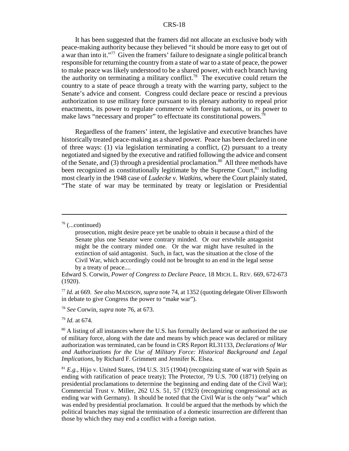It has been suggested that the framers did not allocate an exclusive body with peace-making authority because they believed "it should be more easy to get out of a war than into it."<sup>77</sup> Given the framers' failure to designate a single political branch responsible for returning the country from a state of war to a state of peace, the power to make peace was likely understood to be a shared power, with each branch having the authority on terminating a military conflict.<sup>78</sup> The executive could return the country to a state of peace through a treaty with the warring party, subject to the Senate's advice and consent. Congress could declare peace or rescind a previous authorization to use military force pursuant to its plenary authority to repeal prior enactments, its power to regulate commerce with foreign nations, or its power to make laws "necessary and proper" to effectuate its constitutional powers.<sup>79</sup>

Regardless of the framers' intent, the legislative and executive branches have historically treated peace-making as a shared power. Peace has been declared in one of three ways: (1) via legislation terminating a conflict, (2) pursuant to a treaty negotiated and signed by the executive and ratified following the advice and consent of the Senate, and (3) through a presidential proclamation.<sup>80</sup> All three methods have been recognized as constitutionally legitimate by the Supreme Court, $81$  including most clearly in the 1948 case of *Ludecke v. Watkins*, where the Court plainly stated, "The state of war may be terminated by treaty or legislation or Presidential

Edward S. Corwin, *Power of Congress to Declare Peace*, 18 MICH. L. REV. 669, 672-673 (1920).

<sup>77</sup> *Id.* at 669. *See also* MADISON, *supra* note 74, at 1352 (quoting delegate Oliver Ellsworth in debate to give Congress the power to "make war").

<sup>78</sup> *See* Corwin, *supra* note 76, at 673.

<sup>79</sup> *Id*. at 674.

 $76$  (...continued)

prosecution, might desire peace yet be unable to obtain it because a third of the Senate plus one Senator were contrary minded. Or our erstwhile antagonist might be the contrary minded one. Or the war might have resulted in the extinction of said antagonist. Such, in fact, was the situation at the close of the Civil War, which accordingly could not be brought to an end in the legal sense by a treaty of peace....

<sup>&</sup>lt;sup>80</sup> A listing of all instances where the U.S. has formally declared war or authorized the use of military force, along with the date and means by which peace was declared or military authorization was terminated, can be found in CRS Report RL31133, *Declarations of War and Authorizations for the Use of Military Force: Historical Background and Legal Implications*, by Richard F. Grimmett and Jennifer K. Elsea.

 $81$  *E.g.*, Hijo v. United States, 194 U.S. 315 (1904) (recognizing state of war with Spain as ending with ratification of peace treaty); The Protector, 79 U.S. 700 (1871) (relying on presidential proclamations to determine the beginning and ending date of the Civil War); Commercial Trust v. Miller, 262 U.S. 51, 57 (1923) (recognizing congressional act as ending war with Germany). It should be noted that the Civil War is the only "war" which was ended by presidential proclamation. It could be argued that the methods by which the political branches may signal the termination of a domestic insurrection are different than those by which they may end a conflict with a foreign nation.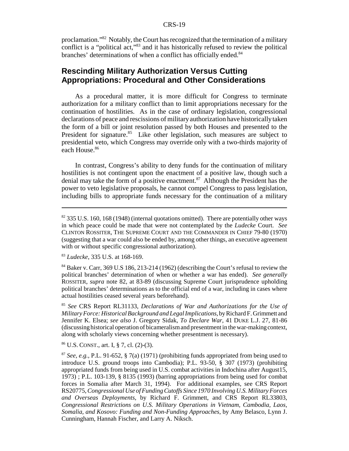proclamation."82 Notably, the Court has recognized that the termination of a military conflict is a "political act,"<sup>83</sup> and it has historically refused to review the political branches' determinations of when a conflict has officially ended.<sup>84</sup>

## **Rescinding Military Authorization Versus Cutting Appropriations: Procedural and Other Considerations**

As a procedural matter, it is more difficult for Congress to terminate authorization for a military conflict than to limit appropriations necessary for the continuation of hostilities. As in the case of ordinary legislation, congressional declarations of peace and rescissions of military authorization have historically taken the form of a bill or joint resolution passed by both Houses and presented to the President for signature.<sup>85</sup> Like other legislation, such measures are subject to presidential veto, which Congress may override only with a two-thirds majority of each House.<sup>86</sup>

In contrast, Congress's ability to deny funds for the continuation of military hostilities is not contingent upon the enactment of a positive law, though such a denial may take the form of a positive enactment.<sup>87</sup> Although the President has the power to veto legislative proposals, he cannot compel Congress to pass legislation, including bills to appropriate funds necessary for the continuation of a military

86 U.S. CONST., art. I, § 7, cl. (2)-(3).

 $82$  335 U.S. 160, 168 (1948) (internal quotations omitted). There are potentially other ways in which peace could be made that were not contemplated by the *Ludecke* Court. *See* CLINTON ROSSITER, THE SUPREME COURT AND THE COMMANDER IN CHIEF 79-80 (1970) (suggesting that a war could also be ended by, among other things, an executive agreement with or without specific congressional authorization).

<sup>83</sup> *Ludecke*, 335 U.S. at 168-169.

<sup>84</sup> Baker v. Carr, 369 U.S 186, 213-214 (1962) (describing the Court's refusal to review the political branches' determination of when or whether a war has ended). *See generally* ROSSITER, *supra* note 82, at 83-89 (discussing Supreme Court jurisprudence upholding political branches' determinations as to the official end of a war, including in cases where actual hostilities ceased several years beforehand).

<sup>85</sup> *See* CRS Report RL31133, *Declarations of War and Authorizations for the Use of Military Force: Historical Background and Legal Implications*, by Richard F. Grimmett and Jennifer K. Elsea; *see also* J. Gregory Sidak, *To Declare War*, 41 DUKE L.J. 27, 81-86 (discussing historical operation of bicameralism and presentment in the war-making context, along with scholarly views concerning whether presentment is necessary).

<sup>87</sup> *See, e.g.,* P.L. 91-652, § 7(a) (1971) (prohibiting funds appropriated from being used to introduce U.S. ground troops into Cambodia); P.L. 93-50, § 307 (1973) (prohibiting appropriated funds from being used in U.S. combat activities in Indochina after August15, 1973) ; P.L. 103-139, § 8135 (1993) (barring appropriations from being used for combat forces in Somalia after March 31, 1994). For additional examples, see CRS Report RS20775,*Congressional Use of Funding Cutoffs Since 1970 Involving U.S. Military Forces and Overseas Deployments*, by Richard F. Grimmett, and CRS Report RL33803, *Congressional Restrictions on U.S. Military Operations in Vietnam, Cambodia, Laos, Somalia, and Kosovo: Funding and Non-Funding Approaches*, by Amy Belasco, Lynn J. Cunningham, Hannah Fischer, and Larry A. Niksch.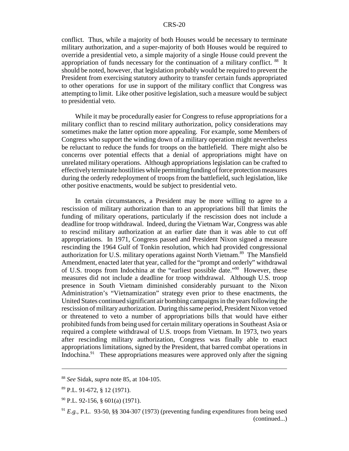conflict. Thus, while a majority of both Houses would be necessary to terminate military authorization, and a super-majority of both Houses would be required to override a presidential veto, a simple majority of a single House could prevent the appropriation of funds necessary for the continuation of a military conflict.  $88\text{ H}$ should be noted, however, that legislation probably would be required to prevent the President from exercising statutory authority to transfer certain funds appropriated to other operations for use in support of the military conflict that Congress was attempting to limit. Like other positive legislation, such a measure would be subject to presidential veto.

While it may be procedurally easier for Congress to refuse appropriations for a military conflict than to rescind military authorization, policy considerations may sometimes make the latter option more appealing. For example, some Members of Congress who support the winding down of a military operation might nevertheless be reluctant to reduce the funds for troops on the battlefield. There might also be concerns over potential effects that a denial of appropriations might have on unrelated military operations. Although appropriations legislation can be crafted to effectively terminate hostilities while permitting funding of force protection measures during the orderly redeployment of troops from the battlefield, such legislation, like other positive enactments, would be subject to presidential veto.

In certain circumstances, a President may be more willing to agree to a rescission of military authorization than to an appropriations bill that limits the funding of military operations, particularly if the rescission does not include a deadline for troop withdrawal. Indeed, during the Vietnam War, Congress was able to rescind military authorization at an earlier date than it was able to cut off appropriations. In 1971, Congress passed and President Nixon signed a measure rescinding the 1964 Gulf of Tonkin resolution, which had provided congressional authorization for U.S. military operations against North Vietnam.<sup>89</sup> The Mansfield Amendment, enacted later that year, called for the "prompt and orderly" withdrawal of U.S. troops from Indochina at the "earliest possible date."90 However, these measures did not include a deadline for troop withdrawal. Although U.S. troop presence in South Vietnam diminished considerably pursuant to the Nixon Administration's "Vietnamization" strategy even prior to these enactments, the United States continued significant air bombing campaigns in the years following the rescission of military authorization. During this same period, President Nixon vetoed or threatened to veto a number of appropriations bills that would have either prohibited funds from being used for certain military operations in Southeast Asia or required a complete withdrawal of U.S. troops from Vietnam. In 1973, two years after rescinding military authorization, Congress was finally able to enact appropriations limitations, signed by the President, that barred combat operations in Indochina. $91$  These appropriations measures were approved only after the signing

<sup>88</sup> *See* Sidak, *supra* note 85, at 104-105.

<sup>89</sup> P.L. 91-672, § 12 (1971).

<sup>90</sup> P.L. 92-156, § 601(a) (1971).

<sup>91</sup> *E.g.,* P.L. 93-50, §§ 304-307 (1973) (preventing funding expenditures from being used (continued...)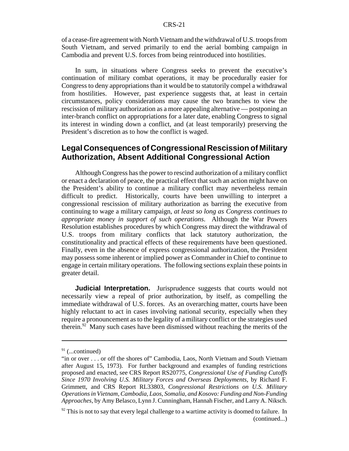of a cease-fire agreement with North Vietnam and the withdrawal of U.S. troops from South Vietnam, and served primarily to end the aerial bombing campaign in Cambodia and prevent U.S. forces from being reintroduced into hostilities.

In sum, in situations where Congress seeks to prevent the executive's continuation of military combat operations, it may be procedurally easier for Congress to deny appropriations than it would be to statutorily compel a withdrawal from hostilities. However, past experience suggests that, at least in certain circumstances, policy considerations may cause the two branches to view the rescission of military authorization as a more appealing alternative — postponing an inter-branch conflict on appropriations for a later date, enabling Congress to signal its interest in winding down a conflict, and (at least temporarily) preserving the President's discretion as to how the conflict is waged.

## **Legal Consequences of Congressional Rescission of Military Authorization, Absent Additional Congressional Action**

Although Congress has the power to rescind authorization of a military conflict or enact a declaration of peace, the practical effect that such an action might have on the President's ability to continue a military conflict may nevertheless remain difficult to predict. Historically, courts have been unwilling to interpret a congressional rescission of military authorization as barring the executive from continuing to wage a military campaign, *at least so long as Congress continues to appropriate money in support of such operations*. Although the War Powers Resolution establishes procedures by which Congress may direct the withdrawal of U.S. troops from military conflicts that lack statutory authorization, the constitutionality and practical effects of these requirements have been questioned. Finally, even in the absence of express congressional authorization, the President may possess some inherent or implied power as Commander in Chief to continue to engage in certain military operations. The following sections explain these points in greater detail.

**Judicial Interpretation.** Jurisprudence suggests that courts would not necessarily view a repeal of prior authorization, by itself, as compelling the immediate withdrawal of U.S. forces. As an overarching matter, courts have been highly reluctant to act in cases involving national security, especially when they require a pronouncement as to the legality of a military conflict or the strategies used therein.<sup>92</sup> Many such cases have been dismissed without reaching the merits of the

 $91$  (...continued)

<sup>&</sup>quot;in or over . . . or off the shores of" Cambodia, Laos, North Vietnam and South Vietnam after August 15, 1973). For further background and examples of funding restrictions proposed and enacted, see CRS Report RS20775, *Congressional Use of Funding Cutoffs Since 1970 Involving U.S. Military Forces and Overseas Deployments*, by Richard F. Grimmett, and CRS Report RL33803, *Congressional Restrictions on U.S. Military Operations in Vietnam, Cambodia, Laos, Somalia, and Kosovo: Funding and Non-Funding Approaches*, by Amy Belasco, Lynn J. Cunningham, Hannah Fischer, and Larry A. Niksch.

 $92$  This is not to say that every legal challenge to a wartime activity is doomed to failure. In (continued...)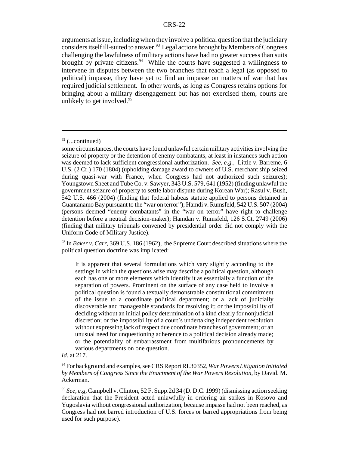arguments at issue, including when they involve a political question that the judiciary considers itself ill-suited to answer.93 Legal actions brought by Members of Congress challenging the lawfulness of military actions have had no greater success than suits brought by private citizens.<sup>94</sup> While the courts have suggested a willingness to intervene in disputes between the two branches that reach a legal (as opposed to political) impasse, they have yet to find an impasse on matters of war that has required judicial settlement. In other words, as long as Congress retains options for bringing about a military disengagement but has not exercised them, courts are unlikely to get involved. $95$ 

<sup>93</sup> In *Baker v. Carr*, 369 U.S. 186 (1962), the Supreme Court described situations where the political question doctrine was implicated:

It is apparent that several formulations which vary slightly according to the settings in which the questions arise may describe a political question, although each has one or more elements which identify it as essentially a function of the separation of powers. Prominent on the surface of any case held to involve a political question is found a textually demonstrable constitutional commitment of the issue to a coordinate political department; or a lack of judicially discoverable and manageable standards for resolving it; or the impossibility of deciding without an initial policy determination of a kind clearly for nonjudicial discretion; or the impossibility of a court's undertaking independent resolution without expressing lack of respect due coordinate branches of government; or an unusual need for unquestioning adherence to a political decision already made; or the potentiality of embarrassment from multifarious pronouncements by various departments on one question.

*Id.* at 217.

94 For background and examples, see CRS Report RL30352, *War Powers Litigation Initiated by Members of Congress Since the Enactment of the War Powers Resolution*, by David. M. Ackerman.

<sup>95</sup> *See, e.g,* Campbell v. Clinton, 52 F. Supp.2d 34 (D. D.C. 1999) (dismissing action seeking declaration that the President acted unlawfully in ordering air strikes in Kosovo and Yugoslavia without congressional authorization, because impasse had not been reached, as Congress had not barred introduction of U.S. forces or barred appropriations from being used for such purpose).

 $92$  (...continued)

some circumstances, the courts have found unlawful certain military activities involving the seizure of property or the detention of enemy combatants, at least in instances such action was deemed to lack sufficient congressional authorization. *See, e.g.,* Little v. Barreme, 6 U.S. (2 Cr.) 170 (1804) (upholding damage award to owners of U.S. merchant ship seized during quasi-war with France, when Congress had not authorized such seizures); Youngstown Sheet and Tube Co. v. Sawyer, 343 U.S. 579, 641 (1952) (finding unlawful the government seizure of property to settle labor dispute during Korean War); Rasul v. Bush, 542 U.S. 466 (2004) (finding that federal habeas statute applied to persons detained in Guantanamo Bay pursuant to the "war on terror"); Hamdi v. Rumsfeld, 542 U.S. 507 (2004) (persons deemed "enemy combatants" in the "war on terror" have right to challenge detention before a neutral decision-maker); Hamdan v. Rumsfeld, 126 S.Ct. 2749 (2006) (finding that military tribunals convened by presidential order did not comply with the Uniform Code of Military Justice).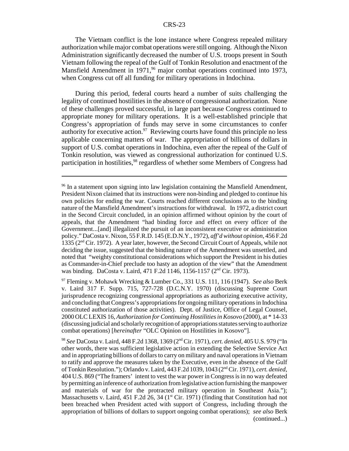The Vietnam conflict is the lone instance where Congress repealed military authorization while major combat operations were still ongoing. Although the Nixon Administration significantly decreased the number of U.S. troops present in South Vietnam following the repeal of the Gulf of Tonkin Resolution and enactment of the Mansfield Amendment in 1971,<sup>96</sup> major combat operations continued into 1973, when Congress cut off all funding for military operations in Indochina.

During this period, federal courts heard a number of suits challenging the legality of continued hostilities in the absence of congressional authorization. None of these challenges proved successful, in large part because Congress continued to appropriate money for military operations. It is a well-established principle that Congress's appropriation of funds may serve in some circumstances to confer authority for executive action.<sup>97</sup> Reviewing courts have found this principle no less applicable concerning matters of war. The appropriation of billions of dollars in support of U.S. combat operations in Indochina, even after the repeal of the Gulf of Tonkin resolution, was viewed as congressional authorization for continued U.S. participation in hostilities,<sup>98</sup> regardless of whether some Members of Congress had

<sup>&</sup>lt;sup>96</sup> In a statement upon signing into law legislation containing the Mansfield Amendment, President Nixon claimed that its instructions were non-binding and pledged to continue his own policies for ending the war. Courts reached different conclusions as to the binding nature of the Mansfield Amendment's instructions for withdrawal. In 1972, a district court in the Second Circuit concluded, in an opinion affirmed without opinion by the court of appeals, that the Amendment "had binding force and effect on every officer of the Government...[and] illegalized the pursuit of an inconsistent executive or administration policy." DaCosta v. Nixon, 55 F.R.D. 145 (E.D.N.Y., 1972), *aff'd without opinion*, 456 F.2d 1335 (2nd Cir. 1972). A year later, however, the Second Circuit Court of Appeals, while not deciding the issue, suggested that the binding nature of the Amendment was unsettled, and noted that "weighty constitutional considerations which support the President in his duties as Commander-in-Chief preclude too hasty an adoption of the view" that the Amendment was binding. DaCosta v. Laird, 471 F.2d 1146, 1156-1157 (2nd Cir. 1973).

<sup>97</sup> Fleming v. Mohawk Wrecking & Lumber Co., 331 U.S. 111, 116 (1947). *See also* Berk v. Laird 317 F. Supp. 715, 727-728 (D.C.N.Y. 1970) (discussing Supreme Court jurisprudence recognizing congressional appropriations as authorizing executive activity, and concluding that Congress's appropriations for ongoing military operations in Indochina constituted authorization of those activities). Dept. of Justice, Office of Legal Counsel, 2000 OLC LEXIS 16, *Authorization for Continuing Hostilities in Kosovo* (2000), at \* 14-33 (discussing judicial and scholarly recognition of appropriations statutes serving to authorize combat operations) [*hereinafter* "OLC Opinion on Hostilities in Kosovo"].

<sup>98</sup> *See* DaCosta v. Laird, 448 F.2d 1368, 1369 (2nd Cir. 1971), *cert. denied*, 405 U.S. 979 ("In other words, there was sufficient legislative action in extending the Selective Service Act and in appropriating billions of dollars to carry on military and naval operations in Vietnam to ratify and approve the measures taken by the Executive, even in the absence of the Gulf of Tonkin Resolution."); Orlando v. Laird, 443 F.2d 1039, 1043 (2nd Cir. 1971), *cert. denied*, 404 U.S. 869 ("The framers' intent to vest the war power in Congress is in no way defeated by permitting an inference of authorization from legislative action furnishing the manpower and materials of war for the protracted military operation in Southeast Asia."); Massachusetts v. Laird, 451 F.2d 26, 34 ( $1<sup>st</sup>$  Cir. 1971) (finding that Constitution had not been breached when President acted with support of Congress, including through the appropriation of billions of dollars to support ongoing combat operations); *see also* Berk (continued...)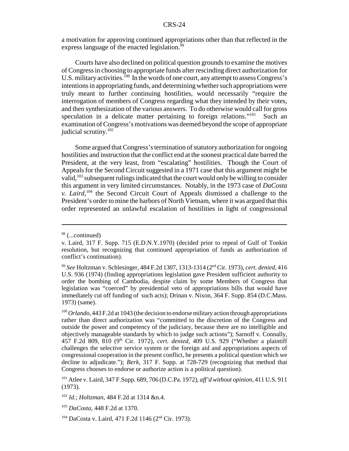a motivation for approving continued appropriations other than that reflected in the express language of the enacted legislation. $\frac{99}{9}$ 

Courts have also declined on political question grounds to examine the motives of Congress in choosing to appropriate funds after rescinding direct authorization for U.S. military activities.<sup>100</sup> In the words of one court, any attempt to assess Congress's intentions in appropriating funds, and determining whether such appropriations were truly meant to further continuing hostilities, would necessarily "require the interrogation of members of Congress regarding what they intended by their votes, and then synthesization of the various answers. To do otherwise would call for gross speculation in a delicate matter pertaining to foreign relations."<sup>101</sup> Such an examination of Congress's motivations was deemed beyond the scope of appropriate judicial scrutiny.<sup>102</sup>

Some argued that Congress's termination of statutory authorization for ongoing hostilities and instruction that the conflict end at the soonest practical date barred the President, at the very least, from "escalating" hostilities. Though the Court of Appeals for the Second Circuit suggested in a 1971 case that this argument might be valid, $103$  subsequent rulings indicated that the court would only be willing to consider this argument in very limited circumstances. Notably, in the 1973 case of *DaCosta v. Laird*, 104 the Second Circuit Court of Appeals dismissed a challenge to the President's order to mine the harbors of North Vietnam, where it was argued that this order represented an unlawful escalation of hostilities in light of congressional

<sup>98 (...</sup>continued)

v. Laird, 317 F. Supp. 715 (E.D.N.Y.1970) (decided prior to repeal of Gulf of Tonkin resolution, but recognizing that continued appropriation of funds as authorization of conflict's continuation).

<sup>99</sup> *See* Holtzman v. Schlesinger, 484 F.2d 1307, 1313-1314 (2nd Cir. 1973), *cert. denied*, 416 U.S. 936 (1974) (finding appropriations legislation gave President sufficient authority to order the bombing of Cambodia, despite claim by some Members of Congress that legislation was "coerced" by presidential veto of appropriations bills that would have immediately cut off funding of such acts); Drinan v. Nixon, 364 F. Supp. 854 (D.C.Mass. 1973) (same).

<sup>100</sup> *Orlando*, 443 F.2d at 1043 (the decision to endorse military action through appropriations rather than direct authorization was "committed to the discretion of the Congress and outside the power and competency of the judiciary, because there are no intelligible and objectively manageable standards by which to judge such actions"); Sarnoff v. Connally, 457 F.2d 809, 810 (9th Cir. 1972), *cert. denied*, 409 U.S. 929 ("Whether a plaintiff challenges the selective service system or the foreign aid and appropriations aspects of congressional cooperation in the present conflict, he presents a political question which we decline to adjudicate."); *Berk*, 317 F. Supp. at 728-729 (recognizing that method that Congress chooses to endorse or authorize action is a political question).

<sup>101</sup> Atlee v. Laird, 347 F.Supp. 689, 706 (D.C.Pa. 1972), *aff'd without opinion*, 411 U.S. 911 (1973).

<sup>102</sup> *Id.*; *Holtzman*, 484 F.2d at 1314 &n.4.

<sup>103</sup> *DaCosta*, 448 F.2d at 1370.

 $104$  DaCosta v. Laird, 471 F.2d 1146 ( $2<sup>nd</sup>$  Cir. 1973).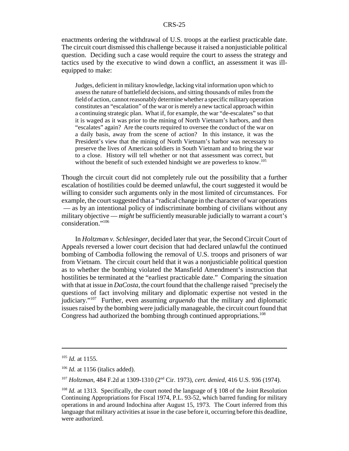enactments ordering the withdrawal of U.S. troops at the earliest practicable date. The circuit court dismissed this challenge because it raised a nonjusticiable political question. Deciding such a case would require the court to assess the strategy and tactics used by the executive to wind down a conflict, an assessment it was illequipped to make:

Judges, deficient in military knowledge, lacking vital information upon which to assess the nature of battlefield decisions, and sitting thousands of miles from the field of action, cannot reasonably determine whether a specific military operation constitutes an "escalation" of the war or is merely a new tactical approach within a continuing strategic plan. What if, for example, the war "de-escalates" so that it is waged as it was prior to the mining of North Vietnam's harbors, and then "escalates" again? Are the courts required to oversee the conduct of the war on a daily basis, away from the scene of action? In this instance, it was the President's view that the mining of North Vietnam's harbor was necessary to preserve the lives of American soldiers in South Vietnam and to bring the war to a close. History will tell whether or not that assessment was correct, but without the benefit of such extended hindsight we are powerless to know.<sup>105</sup>

Though the circuit court did not completely rule out the possibility that a further escalation of hostilities could be deemed unlawful, the court suggested it would be willing to consider such arguments only in the most limited of circumstances. For example, the court suggested that a "radical change in the character of war operations — as by an intentional policy of indiscriminate bombing of civilians without any military objective — *might* be sufficiently measurable judicially to warrant a court's consideration."106

In *Holtzman v. Schlesinger*, decided later that year, the Second Circuit Court of Appeals reversed a lower court decision that had declared unlawful the continued bombing of Cambodia following the removal of U.S. troops and prisoners of war from Vietnam. The circuit court held that it was a nonjusticiable political question as to whether the bombing violated the Mansfield Amendment's instruction that hostilities be terminated at the "earliest practicable date." Comparing the situation with that at issue in *DaCosta*, the court found that the challenge raised "precisely the questions of fact involving military and diplomatic expertise not vested in the judiciary."107 Further, even assuming *arguendo* that the military and diplomatic issues raised by the bombing were judicially manageable, the circuit court found that Congress had authorized the bombing through continued appropriations.<sup>108</sup>

<sup>105</sup> *Id.* at 1155.

<sup>&</sup>lt;sup>106</sup> *Id.* at 1156 (italics added).

<sup>107</sup> *Holtzman*, 484 F.2d at 1309-1310 (2nd Cir. 1973), *cert. denied*, 416 U.S. 936 (1974).

<sup>&</sup>lt;sup>108</sup> *Id.* at 1313. Specifically, the court noted the language of § 108 of the Joint Resolution Continuing Appropriations for Fiscal 1974, P.L. 93-52, which barred funding for military operations in and around Indochina after August 15, 1973. The Court inferred from this language that military activities at issue in the case before it, occurring before this deadline, were authorized.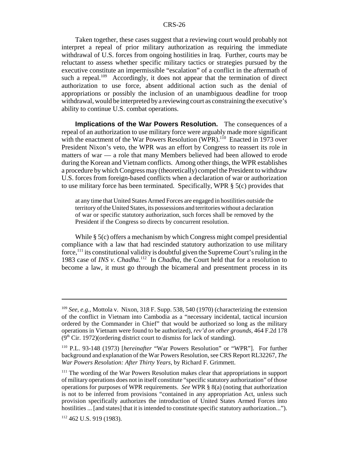Taken together, these cases suggest that a reviewing court would probably not interpret a repeal of prior military authorization as requiring the immediate withdrawal of U.S. forces from ongoing hostilities in Iraq. Further, courts may be reluctant to assess whether specific military tactics or strategies pursued by the executive constitute an impermissible "escalation" of a conflict in the aftermath of such a repeal.<sup>109</sup> Accordingly, it does not appear that the termination of direct authorization to use force, absent additional action such as the denial of appropriations or possibly the inclusion of an unambiguous deadline for troop withdrawal, would be interpreted by a reviewing court as constraining the executive's ability to continue U.S. combat operations.

**Implications of the War Powers Resolution.** The consequences of a repeal of an authorization to use military force were arguably made more significant with the enactment of the War Powers Resolution (WPR).<sup>110</sup> Enacted in 1973 over President Nixon's veto, the WPR was an effort by Congress to reassert its role in matters of war — a role that many Members believed had been allowed to erode during the Korean and Vietnam conflicts. Among other things, the WPR establishes a procedure by which Congress may (theoretically) compel the President to withdraw U.S. forces from foreign-based conflicts when a declaration of war or authorization to use military force has been terminated. Specifically, WPR § 5(c) provides that

at any time that United States Armed Forces are engaged in hostilities outside the territory of the United States, its possessions and territories without a declaration of war or specific statutory authorization, such forces shall be removed by the President if the Congress so directs by concurrent resolution.

While  $\S$  5(c) offers a mechanism by which Congress might compel presidential compliance with a law that had rescinded statutory authorization to use military force,<sup>111</sup> its constitutional validity is doubtful given the Supreme Court's ruling in the 1983 case of *INS v. Chadha*.<sup>112</sup> In *Chadha*, the Court held that for a resolution to become a law, it must go through the bicameral and presentment process in its

<sup>109</sup> *See, e.g.*, Mottola v. Nixon, 318 F. Supp. 538, 540 (1970) (characterizing the extension of the conflict in Vietnam into Cambodia as a "necessary incidental, tactical incursion ordered by the Commander in Chief" that would be authorized so long as the military operations in Vietnam were found to be authorized), *rev'd on other grounds*, 464 F.2d 178  $(9<sup>th</sup> Cir. 1972)$ (ordering district court to dismiss for lack of standing).

<sup>110</sup> P.L. 93-148 (1973) [*hereinafter* "War Powers Resolution" or "WPR"]. For further background and explanation of the War Powers Resolution, see CRS Report RL32267, *The War Powers Resolution: After Thirty Years*, by Richard F. Grimmett.

<sup>&</sup>lt;sup>111</sup> The wording of the War Powers Resolution makes clear that appropriations in support of military operations does not in itself constitute "specific statutory authorization" of those operations for purposes of WPR requirements. *See* WPR § 8(a) (noting that authorization is not to be inferred from provisions "contained in any appropriation Act, unless such provision specifically authorizes the introduction of United States Armed Forces into hostilities ... [and states] that it is intended to constitute specific statutory authorization...").

 $112$  462 U.S. 919 (1983).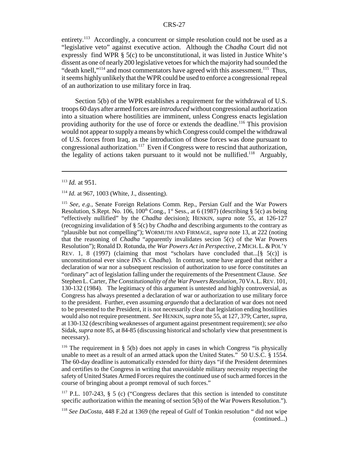entirety.<sup>113</sup> Accordingly, a concurrent or simple resolution could not be used as a "legislative veto" against executive action. Although the *Chadha* Court did not expressly find WPR § 5(c) to be unconstitutional, it was listed in Justice White's dissent as one of nearly 200 legislative vetoes for which the majority had sounded the "death knell,"<sup>114</sup> and most commentators have agreed with this assessment.<sup>115</sup> Thus, it seems highly unlikely that the WPR could be used to enforce a congressional repeal of an authorization to use military force in Iraq.

Section 5(b) of the WPR establishes a requirement for the withdrawal of U.S. troops 60 days after armed forces are *introduced* without congressional authorization into a situation where hostilities are imminent, unless Congress enacts legislation providing authority for the use of force or extends the deadline.<sup>116</sup> This provision would not appear to supply a means by which Congress could compel the withdrawal of U.S. forces from Iraq, as the introduction of those forces was done pursuant to congressional authorization.<sup>117</sup> Even if Congress were to rescind that authorization, the legality of actions taken pursuant to it would not be nullified.<sup>118</sup> Arguably,

<sup>116</sup> The requirement in § 5(b) does not apply in cases in which Congress "is physically unable to meet as a result of an armed attack upon the United States." 50 U.S.C. § 1554. The 60-day deadline is automatically extended for thirty days "if the President determines and certifies to the Congress in writing that unavoidable military necessity respecting the safety of United States Armed Forces requires the continued use of such armed forces in the course of bringing about a prompt removal of such forces."

<sup>117</sup> P.L. 107-243, § 5 (c) ("Congress declares that this section is intended to constitute specific authorization within the meaning of section 5(b) of the War Powers Resolution.").

<sup>118</sup> *See DaCosta*, 448 F.2d at 1369 (the repeal of Gulf of Tonkin resolution " did not wipe (continued...)

<sup>113</sup> *Id.* at 951.

<sup>114</sup> *Id.* at 967, 1003 (White, J., dissenting).

<sup>115</sup> *See, e.g.,* Senate Foreign Relations Comm. Rep., Persian Gulf and the War Powers Resolution, S.Rept. No. 106, 100<sup>th</sup> Cong., 1<sup>st</sup> Sess., at 6 (1987) (describing  $\S$  5(c) as being "effectively nullified" by the *Chadha* decision); HENKIN, *supra* note 55, at 126-127 (recognizing invalidation of § 5(c) by *Chadha* and describing arguments to the contrary as "plausible but not compelling"); WORMUTH AND FIRMAGE, *supra* note 13, at 222 (noting that the reasoning of *Chadha* "apparently invalidates secion 5(c) of the War Powers Resolution"); Ronald D. Rotunda, *the War Powers Act in Perspective,* 2MICH. L. & POL'Y REV. 1, 8 (1997) (claiming that most "scholars have concluded that...[§  $5(c)$ ] is unconstitutional ever since *INS v. Chadha*). In contrast, some have argued that neither a declaration of war nor a subsequent rescission of authorization to use force constitutes an "ordinary" act of legislation falling under the requirements of the Presentment Clause. *See* Stephen L. Carter, *The Constitutionality of the War Powers Resolution*, 70 VA. L. REV. 101, 130-132 (1984). The legitimacy of this argument is untested and highly controversial, as Congress has always presented a declaration of war or authorization to use military force to the president. Further, even assuming *arguendo* that a declaration of war does not need to be presented to the President, it is not necessarily clear that legislation ending hostilities would also not require presentment. *See* HENKIN, *supra* note 55, at 127, 379; Carter, *supra*, at 130-132 (describing weaknesses of argument against presentment requirement); *see also* Sidak, *supra* note 85, at 84-85 (discussing historical and scholarly view that presentment is necessary).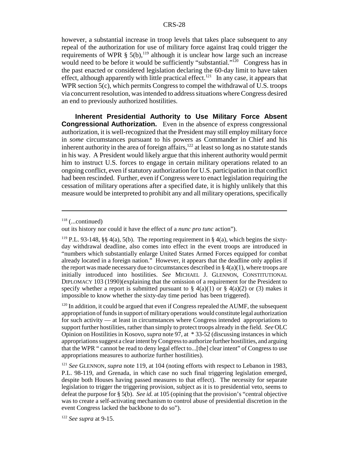however, a substantial increase in troop levels that takes place subsequent to any repeal of the authorization for use of military force against Iraq could trigger the requirements of WPR  $\S$  5(b),<sup>119</sup> although it is unclear how large such an increase would need to be before it would be sufficiently "substantial."<sup>120</sup> Congress has in the past enacted or considered legislation declaring the 60-day limit to have taken effect, although apparently with little practical effect.<sup>121</sup> In any case, it appears that WPR section 5(c), which permits Congress to compel the withdrawal of U.S. troops via concurrent resolution, was intended to address situations where Congress desired an end to previously authorized hostilities.

**Inherent Presidential Authority to Use Military Force Absent Congressional Authorization.** Even in the absence of express congressional authorization, it is well-recognized that the President may still employ military force in *some* circumstances pursuant to his powers as Commander in Chief and his inherent authority in the area of foreign affairs, $122$  at least so long as no statute stands in his way. A President would likely argue that this inherent authority would permit him to instruct U.S. forces to engage in certain military operations related to an ongoing conflict, even if statutory authorization for U.S. participation in that conflict had been rescinded. Further, even if Congress were to enact legislation requiring the cessation of military operations after a specified date, it is highly unlikely that this measure would be interpreted to prohibit any and all military operations, specifically

<sup>122</sup> *See supra* at 9-15.

 $118$  (...continued)

out its history nor could it have the effect of a *nunc pro tunc* action").

<sup>&</sup>lt;sup>119</sup> P.L. 93-148, §§ 4(a), 5(b). The reporting requirement in § 4(a), which begins the sixtyday withdrawal deadline, also comes into effect in the event troops are introduced in "numbers which substantially enlarge United States Armed Forces equipped for combat already located in a foreign nation." However, it appears that the deadline only applies if the report was made necessary due to circumstances described in  $\S 4(a)(1)$ , where troops are initially introduced into hostilities. *See* MICHAEL J. GLENNON, CONSTITUTIONAL DIPLOMACY 103 (1990)(explaining that the omission of a requirement for the President to specify whether a report is submitted pursuant to  $\S_4(a)(1)$  or  $\S_4(a)(2)$  or (3) makes it impossible to know whether the sixty-day time period has been triggered).

 $120$  In addition, it could be argued that even if Congress repealed the AUMF, the subsequent appropriation of funds in support of military operations would constitute legal authorization for such activity — at least in circumstances where Congress intended appropriations to support further hostilities, rather than simply to protect troops already in the field. *See* OLC Opinion on Hostilities in Kosovo, *supra* note 97, at \* 33-52 (discussing instances in which appropriations suggest a clear intent by Congress to authorize further hostilities, and arguing that the WPR " cannot be read to deny legal effect to...[the] clear intent" of Congress to use appropriations measures to authorize further hostilities).

<sup>&</sup>lt;sup>121</sup> See GLENNON, *supra* note 119, at 104 (noting efforts with respect to Lebanon in 1983, P.L. 98-119, and Grenada, in which case no such final triggering legislation emerged, despite both Houses having passed measures to that effect). The necessity for separate legislation to trigger the triggering provision, subject as it is to presidential veto, seems to defeat the purpose for § 5(b). *See id.* at 105 (opining that the provision's "central objective was to create a self-activating mechanism to control abuse of presidential discretion in the event Congress lacked the backbone to do so").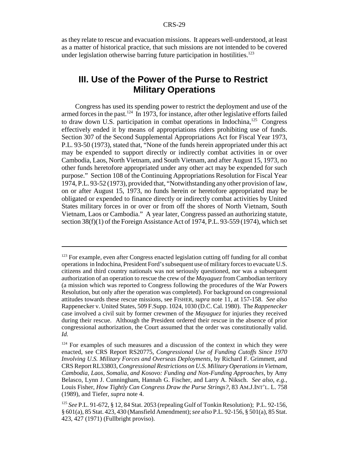as they relate to rescue and evacuation missions. It appears well-understood, at least as a matter of historical practice, that such missions are not intended to be covered under legislation otherwise barring future participation in hostilities.<sup>123</sup>

## **III. Use of the Power of the Purse to Restrict Military Operations**

Congress has used its spending power to restrict the deployment and use of the armed forces in the past.<sup>124</sup> In 1973, for instance, after other legislative efforts failed to draw down U.S. participation in combat operations in Indochina,<sup>125</sup> Congress effectively ended it by means of appropriations riders prohibiting use of funds. Section 307 of the Second Supplemental Appropriations Act for Fiscal Year 1973, P.L. 93-50 (1973), stated that, "None of the funds herein appropriated under this act may be expended to support directly or indirectly combat activities in or over Cambodia, Laos, North Vietnam, and South Vietnam, and after August 15, 1973, no other funds heretofore appropriated under any other act may be expended for such purpose." Section 108 of the Continuing Appropriations Resolution for Fiscal Year 1974, P.L. 93-52 (1973), provided that, "Notwithstanding any other provision of law, on or after August 15, 1973, no funds herein or heretofore appropriated may be obligated or expended to finance directly or indirectly combat activities by United States military forces in or over or from off the shores of North Vietnam, South Vietnam, Laos or Cambodia." A year later, Congress passed an authorizing statute, section 38(f)(1) of the Foreign Assistance Act of 1974, P.L. 93-559 (1974), which set

<sup>&</sup>lt;sup>123</sup> For example, even after Congress enacted legislation cutting off funding for all combat operations in Indochina, President Ford's subsequent use of military forces to evacuate U.S. citizens and third country nationals was not seriously questioned, nor was a subsequent authorization of an operation to rescue the crew of the *Mayaguez* from Cambodian territory (a mission which was reported to Congress following the procedures of the War Powers Resolution, but only after the operation was completed). For background on congressional attitudes towards these rescue missions, see FISHER, *supra* note 11, at 157-158. *See also* Rappenecker v. United States, 509 F.Supp. 1024, 1030 (D.C. Cal. 1980). The *Rappenecker* case involved a civil suit by former crewmen of the *Mayaguez* for injuries they received during their rescue. Although the President ordered their rescue in the absence of prior congressional authorization, the Court assumed that the order was constitutionally valid. *Id.*

 $124$  For examples of such measures and a discussion of the context in which they were enacted, see CRS Report RS20775, *Congressional Use of Funding Cutoffs Since 1970 Involving U.S. Military Forces and Overseas Deployments*, by Richard F. Grimmett, and CRS Report RL33803, *Congressional Restrictions on U.S. Military Operations in Vietnam, Cambodia, Laos, Somalia, and Kosovo: Funding and Non-Funding Approaches*, by Amy Belasco, Lynn J. Cunningham, Hannah G. Fischer, and Larry A. Niksch. *See also, e.g.*, Louis Fisher, *How Tightly Can Congress Draw the Purse Strings?*, 83 AM.J.INT'L. L. 758 (1989), and Tiefer*, supra* note 4.

<sup>125</sup> *See* P.L. 91-672, § 12, 84 Stat. 2053 (repealing Gulf of Tonkin Resolution); P.L. 92-156, § 601(a), 85 Stat. 423, 430 (Mansfield Amendment); *see also* P.L. 92-156, § 501(a), 85 Stat. 423, 427 (1971) (Fullbright proviso).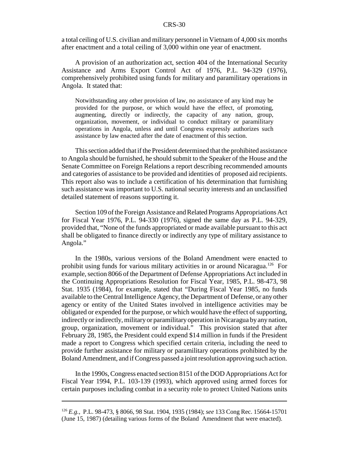a total ceiling of U.S. civilian and military personnel in Vietnam of 4,000 six months after enactment and a total ceiling of 3,000 within one year of enactment.

A provision of an authorization act, section 404 of the International Security Assistance and Arms Export Control Act of 1976, P.L. 94-329 (1976), comprehensively prohibited using funds for military and paramilitary operations in Angola. It stated that:

Notwithstanding any other provision of law, no assistance of any kind may be provided for the purpose, or which would have the effect, of promoting, augmenting, directly or indirectly, the capacity of any nation, group, organization, movement, or individual to conduct military or paramilitary operations in Angola, unless and until Congress expressly authorizes such assistance by law enacted after the date of enactment of this section.

This section added that if the President determined that the prohibited assistance to Angola should be furnished, he should submit to the Speaker of the House and the Senate Committee on Foreign Relations a report describing recommended amounts and categories of assistance to be provided and identities of proposed aid recipients. This report also was to include a certification of his determination that furnishing such assistance was important to U.S. national security interests and an unclassified detailed statement of reasons supporting it.

Section 109 of the Foreign Assistance and Related Programs Appropriations Act for Fiscal Year 1976, P.L. 94-330 (1976), signed the same day as P.L. 94-329, provided that, "None of the funds appropriated or made available pursuant to this act shall be obligated to finance directly or indirectly any type of military assistance to Angola."

In the 1980s, various versions of the Boland Amendment were enacted to prohibit using funds for various military activities in or around Nicaragua.<sup>126</sup> For example, section 8066 of the Department of Defense Appropriations Act included in the Continuing Appropriations Resolution for Fiscal Year, 1985, P.L. 98-473, 98 Stat. 1935 (1984), for example, stated that "During Fiscal Year 1985, no funds available to the Central Intelligence Agency, the Department of Defense, or any other agency or entity of the United States involved in intelligence activities may be obligated or expended for the purpose, or which would have the effect of supporting, indirectly or indirectly, military or paramilitary operation in Nicaragua by any nation, group, organization, movement or individual." This provision stated that after February 28, 1985, the President could expend \$14 million in funds if the President made a report to Congress which specified certain criteria, including the need to provide further assistance for military or paramilitary operations prohibited by the Boland Amendment, and if Congress passed a joint resolution approving such action.

In the 1990s, Congress enacted section 8151 of the DOD Appropriations Act for Fiscal Year 1994, P.L. 103-139 (1993), which approved using armed forces for certain purposes including combat in a security role to protect United Nations units

<sup>126</sup> *E.g.,* P.L. 98-473, § 8066, 98 Stat. 1904, 1935 (1984); *see* 133 Cong Rec. 15664-15701 (June 15, 1987) (detailing various forms of the Boland Amendment that were enacted).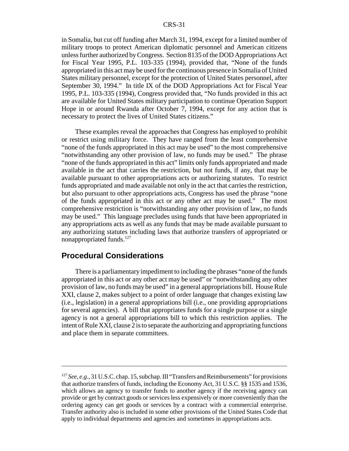in Somalia, but cut off funding after March 31, 1994, except for a limited number of military troops to protect American diplomatic personnel and American citizens unless further authorized by Congress. Section 8135 of the DOD Appropriations Act for Fiscal Year 1995, P.L. 103-335 (1994), provided that, "None of the funds appropriated in this act may be used for the continuous presence in Somalia of United States military personnel, except for the protection of United States personnel, after September 30, 1994." In title IX of the DOD Appropriations Act for Fiscal Year 1995, P.L. 103-335 (1994), Congress provided that, "No funds provided in this act are available for United States military participation to continue Operation Support Hope in or around Rwanda after October 7, 1994, except for any action that is necessary to protect the lives of United States citizens."

These examples reveal the approaches that Congress has employed to prohibit or restrict using military force. They have ranged from the least comprehensive "none of the funds appropriated in this act may be used" to the most comprehensive "notwithstanding any other provision of law, no funds may be used." The phrase "none of the funds appropriated in this act" limits only funds appropriated and made available in the act that carries the restriction, but not funds, if any, that may be available pursuant to other appropriations acts or authorizing statutes. To restrict funds appropriated and made available not only in the act that carries the restriction, but also pursuant to other appropriations acts, Congress has used the phrase "none of the funds appropriated in this act or any other act may be used." The most comprehensive restriction is "notwithstanding any other provision of law, no funds may be used." This language precludes using funds that have been appropriated in any appropriations acts as well as any funds that may be made available pursuant to any authorizing statutes including laws that authorize transfers of appropriated or nonappropriated funds.<sup>127</sup>

## **Procedural Considerations**

There is a parliamentary impediment to including the phrases "none of the funds appropriated in this act or any other act may be used" or "notwithstanding any other provision of law, no funds may be used" in a general appropriations bill. House Rule XXI, clause 2, makes subject to a point of order language that changes existing law (i.e., legislation) in a general appropriations bill (i.e., one providing appropriations for several agencies). A bill that appropriates funds for a single purpose or a single agency is not a general appropriations bill to which this restriction applies. The intent of Rule XXI, clause 2 is to separate the authorizing and appropriating functions and place them in separate committees.

<sup>&</sup>lt;sup>127</sup> *See, e.g.*, 31 U.S.C. chap. 15, subchap. III "Transfers and Reimbursements" for provisions that authorize transfers of funds, including the Economy Act, 31 U.S.C. §§ 1535 and 1536, which allows an agency to transfer funds to another agency if the receiving agency can provide or get by contract goods or services less expensively or more conveniently than the ordering agency can get goods or services by a contract with a commercial enterprise. Transfer authority also is included in some other provisions of the United States Code that apply to individual departments and agencies and sometimes in appropriations acts.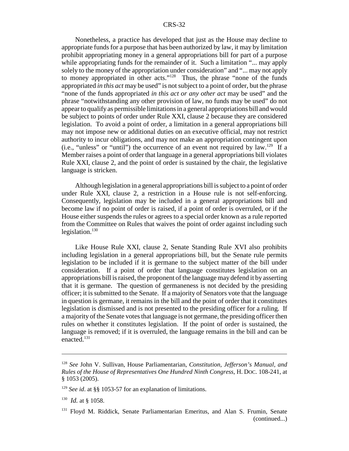Nonetheless, a practice has developed that just as the House may decline to appropriate funds for a purpose that has been authorized by law, it may by limitation prohibit appropriating money in a general appropriations bill for part of a purpose while appropriating funds for the remainder of it. Such a limitation "... may apply solely to the money of the appropriation under consideration" and "... may not apply to money appropriated in other acts."128 Thus, the phrase "none of the funds appropriated *in this act* may be used" is not subject to a point of order, but the phrase "none of the funds appropriated *in this act or any other act* may be used" and the phrase "notwithstanding any other provision of law, no funds may be used" do not appear to qualify as permissible limitations in a general appropriations bill and would be subject to points of order under Rule XXI, clause 2 because they are considered legislation. To avoid a point of order, a limitation in a general appropriations bill may not impose new or additional duties on an executive official, may not restrict authority to incur obligations, and may not make an appropriation contingent upon (i.e., "unless" or "until") the occurrence of an event not required by law.<sup>129</sup> If a Member raises a point of order that language in a general appropriations bill violates Rule XXI, clause 2, and the point of order is sustained by the chair, the legislative language is stricken.

Although legislation in a general appropriations bill is subject to a point of order under Rule XXI, clause 2, a restriction in a House rule is not self-enforcing. Consequently, legislation may be included in a general appropriations bill and become law if no point of order is raised, if a point of order is overruled, or if the House either suspends the rules or agrees to a special order known as a rule reported from the Committee on Rules that waives the point of order against including such legislation. $130$ 

Like House Rule XXI, clause 2, Senate Standing Rule XVI also prohibits including legislation in a general appropriations bill, but the Senate rule permits legislation to be included if it is germane to the subject matter of the bill under consideration. If a point of order that language constitutes legislation on an appropriations bill is raised, the proponent of the language may defend it by asserting that it is germane. The question of germaneness is not decided by the presiding officer; it is submitted to the Senate. If a majority of Senators vote that the language in question is germane, it remains in the bill and the point of order that it constitutes legislation is dismissed and is not presented to the presiding officer for a ruling. If a majority of the Senate votes that language is not germane, the presiding officer then rules on whether it constitutes legislation. If the point of order is sustained, the language is removed; if it is overruled, the language remains in the bill and can be enacted.<sup>131</sup>

<sup>128</sup> *See* John V. Sullivan, House Parliamentarian, *Constitution, Jefferson's Manual, and Rules of the House of Representatives One Hundred Ninth Congress*, H. DOC. 108-241, at § 1053 (2005).

<sup>&</sup>lt;sup>129</sup> *See id.* at §§ 1053-57 for an explanation of limitations.

<sup>130</sup> *Id.* at § 1058.

<sup>&</sup>lt;sup>131</sup> Floyd M. Riddick, Senate Parliamentarian Emeritus, and Alan S. Frumin, Senate (continued...)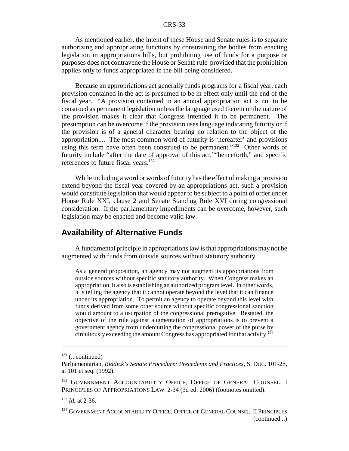As mentioned earlier, the intent of these House and Senate rules is to separate authorizing and appropriating functions by constraining the bodies from enacting legislation in appropriations bills, but prohibiting use of funds for a purpose or purposes does not contravene the House or Senate rule provided that the prohibition applies only to funds appropriated in the bill being considered.

Because an appropriations act generally funds programs for a fiscal year, each provision contained in the act is presumed to be in effect only until the end of the fiscal year. "A provision contained in an annual appropriation act is not to be construed as permanent legislation unless the language used therein or the nature of the provision makes it clear that Congress intended it to be permanent. The presumption can be overcome if the provision uses language indicating futurity or if the provision is of a general character bearing no relation to the object of the appropriation.... The most common word of futurity is 'hereafter' and provisions using this term have often been construed to be permanent."<sup>132</sup> Other words of futurity include "after the date of approval of this act,""henceforth," and specific references to future fiscal years.<sup>133</sup>

While including a word or words of futurity has the effect of making a provision extend beyond the fiscal year covered by an appropriations act, such a provision would constitute legislation that would appear to be subject to a point of order under House Rule XXI, clause 2 and Senate Standing Rule XVI during congressional consideration. If the parliamentary impediments can be overcome, however, such legislation may be enacted and become valid law.

## **Availability of Alternative Funds**

A fundamental principle in appropriations law is that appropriations may not be augmented with funds from outside sources without statutory authority.

As a general proposition, an agency may not augment its appropriations from outside sources without specific statutory authority. When Congress makes an appropriation, it also is establishing an authorized program level. In other words, it is telling the agency that it cannot operate beyond the level that it can finance under its appropriation. To permit an agency to operate beyond this level with funds derived from some other source without specific congressional sanction would amount to a usurpation of the congressional prerogative. Restated, the objective of the rule against augmentation of appropriations is to prevent a government agency from undercutting the congressional power of the purse by circuitously exceeding the amount Congress has appropriated for that activity.134

 $131$  (...continued)

Parliamentarian, *Riddick's Senate Procedure: Precedents and Practices*, S. DOC. 101-28, at 101 et seq. (1992).

<sup>&</sup>lt;sup>132</sup> GOVERNMENT ACCOUNTABILITY OFFICE, OFFICE OF GENERAL COUNSEL, I PRINCIPLES OF APPROPRIATIONS LAW 2-34 (3d ed. 2006) (footnotes omitted).

<sup>133</sup> *Id.* at 2-36.

<sup>&</sup>lt;sup>134</sup> GOVERNMENT ACCOUNTABILITY OFFICE, OFFICE OF GENERAL COUNSEL, II PRINCIPLES (continued...)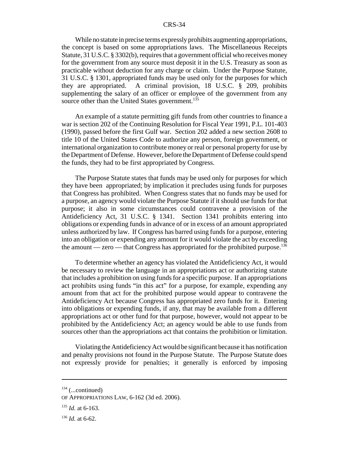While no statute in precise terms expressly prohibits augmenting appropriations, the concept is based on some appropriations laws. The Miscellaneous Receipts Statute, 31 U.S.C. § 3302(b), requires that a government official who receives money for the government from any source must deposit it in the U.S. Treasury as soon as practicable without deduction for any charge or claim. Under the Purpose Statute, 31 U.S.C. § 1301, appropriated funds may be used only for the purposes for which they are appropriated. A criminal provision, 18 U.S.C. § 209, prohibits supplementing the salary of an officer or employee of the government from any source other than the United States government.<sup>135</sup>

An example of a statute permitting gift funds from other countries to finance a war is section 202 of the Continuing Resolution for Fiscal Year 1991, P.L. 101-403 (1990), passed before the first Gulf war. Section 202 added a new section 2608 to title 10 of the United States Code to authorize any person, foreign government, or international organization to contribute money or real or personal property for use by the Department of Defense. However, before the Department of Defense could spend the funds, they had to be first appropriated by Congress.

The Purpose Statute states that funds may be used only for purposes for which they have been appropriated; by implication it precludes using funds for purposes that Congress has prohibited. When Congress states that no funds may be used for a purpose, an agency would violate the Purpose Statute if it should use funds for that purpose; it also in some circumstances could contravene a provision of the Antideficiency Act, 31 U.S.C. § 1341. Section 1341 prohibits entering into obligations or expending funds in advance of or in excess of an amount appropriated unless authorized by law. If Congress has barred using funds for a purpose, entering into an obligation or expending any amount for it would violate the act by exceeding the amount — zero — that Congress has appropriated for the prohibited purpose.<sup>136</sup>

To determine whether an agency has violated the Antideficiency Act, it would be necessary to review the language in an appropriations act or authorizing statute that includes a prohibition on using funds for a specific purpose. If an appropriations act prohibits using funds "in this act" for a purpose, for example, expending any amount from that act for the prohibited purpose would appear to contravene the Antideficiency Act because Congress has appropriated zero funds for it. Entering into obligations or expending funds, if any, that may be available from a different appropriations act or other fund for that purpose, however, would not appear to be prohibited by the Antideficiency Act; an agency would be able to use funds from sources other than the appropriations act that contains the prohibition or limitation.

Violating the Antideficiency Act would be significant because it has notification and penalty provisions not found in the Purpose Statute. The Purpose Statute does not expressly provide for penalties; it generally is enforced by imposing

 $134$  (...continued)

OF APPROPRIATIONS LAW, 6-162 (3d ed. 2006).

 $^{135}$  *Id.* at 6-163.

<sup>136</sup> *Id.* at 6-62.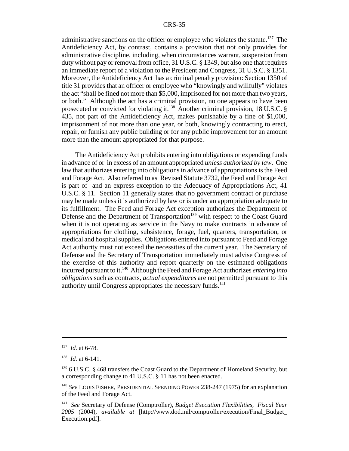administrative sanctions on the officer or employee who violates the statute.<sup>137</sup> The Antideficiency Act, by contrast, contains a provision that not only provides for administrative discipline, including, when circumstances warrant, suspension from duty without pay or removal from office, 31 U.S.C. § 1349, but also one that requires an immediate report of a violation to the President and Congress, 31 U.S.C. § 1351. Moreover, the Antideficiency Act has a criminal penalty provision: Section 1350 of title 31 provides that an officer or employee who "knowingly and willfully" violates the act "shall be fined not more than \$5,000, imprisoned for not more than two years, or both." Although the act has a criminal provision, no one appears to have been prosecuted or convicted for violating it.<sup>138</sup> Another criminal provision, 18 U.S.C. § 435, not part of the Antideficiency Act, makes punishable by a fine of \$1,000, imprisonment of not more than one year, or both, knowingly contracting to erect, repair, or furnish any public building or for any public improvement for an amount more than the amount appropriated for that purpose.

The Antideficiency Act prohibits entering into obligations or expending funds in advance of or in excess of an amount appropriated *unless authorized by law*. One law that authorizes entering into obligations in advance of appropriations is the Feed and Forage Act. Also referred to as Revised Statute 3732, the Feed and Forage Act is part of and an express exception to the Adequacy of Appropriations Act, 41 U.S.C. § 11. Section 11 generally states that no government contract or purchase may be made unless it is authorized by law or is under an appropriation adequate to its fulfillment. The Feed and Forage Act exception authorizes the Department of Defense and the Department of Transportation<sup>139</sup> with respect to the Coast Guard when it is not operating as service in the Navy to make contracts in advance of appropriations for clothing, subsistence, forage, fuel, quarters, transportation, or medical and hospital supplies. Obligations entered into pursuant to Feed and Forage Act authority must not exceed the necessities of the current year. The Secretary of Defense and the Secretary of Transportation immediately must advise Congress of the exercise of this authority and report quarterly on the estimated obligations incurred pursuant to it.140 Although the Feed and Forage Act authorizes *entering into obligations* such as contracts, *actual expenditures* are not permitted pursuant to this authority until Congress appropriates the necessary funds.<sup>141</sup>

<sup>137</sup> *Id.* at 6-78.

<sup>138</sup> *Id.* at 6-141.

 $139$  6 U.S.C. § 468 transfers the Coast Guard to the Department of Homeland Security, but a corresponding change to 41 U.S.C. § 11 has not been enacted.

<sup>140</sup> *See* LOUIS FISHER, PRESIDENTIAL SPENDING POWER 238-247 (1975) for an explanation of the Feed and Forage Act.

<sup>141</sup> *See* Secretary of Defense (Comptroller), *Budget Execution Flexibilities, Fiscal Year 2005* (2004), *available at* [http://www.dod.mil/comptroller/execution/Final\_Budget\_ Execution.pdf].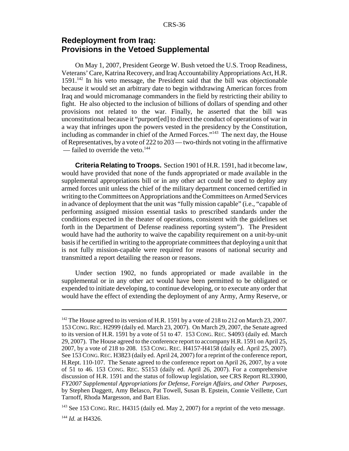## **Redeployment from Iraq: Provisions in the Vetoed Supplemental**

On May 1, 2007, President George W. Bush vetoed the U.S. Troop Readiness, Veterans' Care, Katrina Recovery, and Iraq Accountability Appropriations Act, H.R.  $1591<sup>142</sup>$  In his veto message, the President said that the bill was objectionable because it would set an arbitrary date to begin withdrawing American forces from Iraq and would micromanage commanders in the field by restricting their ability to fight. He also objected to the inclusion of billions of dollars of spending and other provisions not related to the war. Finally, he asserted that the bill was unconstitutional because it "purport[ed] to direct the conduct of operations of war in a way that infringes upon the powers vested in the presidency by the Constitution, including as commander in chief of the Armed Forces."<sup>143</sup> The next day, the House of Representatives, by a vote of 222 to 203 — two-thirds not voting in the affirmative — failed to override the veto. $144$ 

**Criteria Relating to Troops.** Section 1901 of H.R. 1591, had it become law, would have provided that none of the funds appropriated or made available in the supplemental appropriations bill or in any other act could be used to deploy any armed forces unit unless the chief of the military department concerned certified in writing to the Committees on Appropriations and the Committees on Armed Services in advance of deployment that the unit was "fully mission capable" (i.e., "capable of performing assigned mission essential tasks to prescribed standards under the conditions expected in the theater of operations, consistent with the guidelines set forth in the Department of Defense readiness reporting system"). The President would have had the authority to waive the capability requirement on a unit-by-unit basis if he certified in writing to the appropriate committees that deploying a unit that is not fully mission-capable were required for reasons of national security and transmitted a report detailing the reason or reasons.

Under section 1902, no funds appropriated or made available in the supplemental or in any other act would have been permitted to be obligated or expended to initiate developing, to continue developing, or to execute any order that would have the effect of extending the deployment of any Army, Army Reserve, or

 $142$  The House agreed to its version of H.R. 1591 by a vote of 218 to 212 on March 23, 2007. 153 CONG. REC. H2999 (daily ed. March 23, 2007). On March 29, 2007, the Senate agreed to its version of H.R. 1591 by a vote of 51 to 47. 153 CONG. REC. S4093 (daily ed. March 29, 2007). The House agreed to the conference report to accompany H.R. 1591 on April 25, 2007, by a vote of 218 to 208. 153 CONG. REC. H4157-H4158 (daily ed. April 25, 2007). See 153 CONG. REC. H3823 (daily ed. April 24, 2007) for a reprint of the conference report, H.Rept. 110-107. The Senate agreed to the conference report on April 26, 2007, by a vote of 51 to 46. 153 CONG. REC. S5153 (daily ed. April 26, 2007). For a comprehensive discussion of H.R. 1591 and the status of followup legislation, see CRS Report RL33900, *FY2007 Supplemental Appropriations for Defense, Foreign Affairs, and Other Purposes*, by Stephen Daggett, Amy Belasco, Pat Towell, Susan B. Epstein, Connie Veillette, Curt Tarnoff, Rhoda Margesson, and Bart Elias.

<sup>&</sup>lt;sup>143</sup> See 153 CONG. REC. H4315 (daily ed. May 2, 2007) for a reprint of the veto message.

<sup>144</sup> *Id.* at H4326.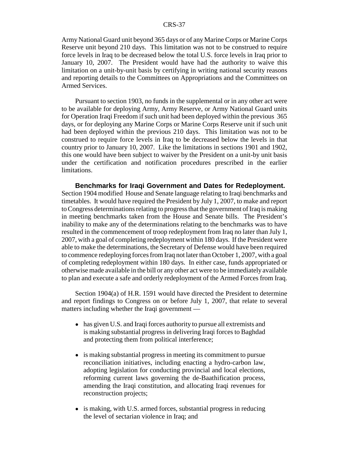Army National Guard unit beyond 365 days or of any Marine Corps or Marine Corps Reserve unit beyond 210 days. This limitation was not to be construed to require force levels in Iraq to be decreased below the total U.S. force levels in Iraq prior to January 10, 2007. The President would have had the authority to waive this limitation on a unit-by-unit basis by certifying in writing national security reasons and reporting details to the Committees on Appropriations and the Committees on Armed Services.

Pursuant to section 1903, no funds in the supplemental or in any other act were to be available for deploying Army, Army Reserve, or Army National Guard units for Operation Iraqi Freedom if such unit had been deployed within the previous 365 days, or for deploying any Marine Corps or Marine Corps Reserve unit if such unit had been deployed within the previous 210 days. This limitation was not to be construed to require force levels in Iraq to be decreased below the levels in that country prior to January 10, 2007. Like the limitations in sections 1901 and 1902, this one would have been subject to waiver by the President on a unit-by unit basis under the certification and notification procedures prescribed in the earlier limitations.

**Benchmarks for Iraqi Government and Dates for Redeployment.** Section 1904 modified House and Senate language relating to Iraqi benchmarks and timetables. It would have required the President by July 1, 2007, to make and report to Congress determinations relating to progress that the government of Iraq is making in meeting benchmarks taken from the House and Senate bills. The President's inability to make any of the determinations relating to the benchmarks was to have resulted in the commencement of troop redeployment from Iraq no later than July 1, 2007, with a goal of completing redeployment within 180 days. If the President were able to make the determinations, the Secretary of Defense would have been required to commence redeploying forces from Iraq not later than October 1, 2007, with a goal of completing redeployment within 180 days. In either case, funds appropriated or otherwise made available in the bill or any other act were to be immediately available to plan and execute a safe and orderly redeployment of the Armed Forces from Iraq.

Section 1904(a) of H.R. 1591 would have directed the President to determine and report findings to Congress on or before July 1, 2007, that relate to several matters including whether the Iraqi government —

- has given U.S. and Iraqi forces authority to pursue all extremists and is making substantial progress in delivering Iraqi forces to Baghdad and protecting them from political interference;
- is making substantial progress in meeting its commitment to pursue reconciliation initiatives, including enacting a hydro-carbon law, adopting legislation for conducting provincial and local elections, reforming current laws governing the de-Baathification process, amending the Iraqi constitution, and allocating Iraqi revenues for reconstruction projects;
- is making, with U.S. armed forces, substantial progress in reducing the level of sectarian violence in Iraq; and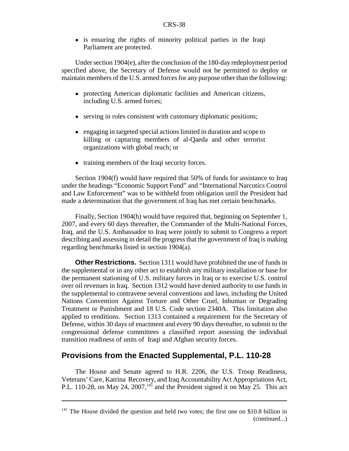• is ensuring the rights of minority political parties in the Iraqi Parliament are protected.

Under section 1904(e), after the conclusion of the 180-day redeployment period specified above, the Secretary of Defense would not be permitted to deploy or maintain members of the U.S. armed forces for any purpose other than the following:

- ! protecting American diplomatic facilities and American citizens, including U.S. armed forces;
- serving in roles consistent with customary diplomatic positions;
- engaging in targeted special actions limited in duration and scope to killing or capturing members of al-Qaeda and other terrorist organizations with global reach; or
- training members of the Iraqi security forces.

Section 1904(f) would have required that 50% of funds for assistance to Iraq under the headings "Economic Support Fund" and "International Narcotics Control and Law Enforcement" was to be withheld from obligation until the President had made a determination that the government of Iraq has met certain benchmarks.

Finally, Section 1904(h) would have required that, beginning on September 1, 2007, and every 60 days thereafter, the Commander of the Multi-National Forces, Iraq, and the U.S. Ambassador to Iraq were jointly to submit to Congress a report describing and assessing in detail the progress that the government of Iraq is making regarding benchmarks listed in section 1904(a).

**Other Restrictions.** Section 1311 would have prohibited the use of funds in the supplemental or in any other act to establish any military installation or base for the permanent stationing of U.S. military forces in Iraq or to exercise U.S. control over oil revenues in Iraq. Section 1312 would have denied authority to use funds in the supplemental to contravene several conventions and laws, including the United Nations Convention Against Torture and Other Cruel, Inhuman or Degrading Treatment or Punishment and 18 U.S. Code section 2340A. This limitation also applied to renditions. Section 1313 contained a requirement for the Secretary of Defense, within 30 days of enactment and every 90 days thereafter, to submit to the congressional defense committees a classified report assessing the individual transition readiness of units of Iraqi and Afghan security forces.

## **Provisions from the Enacted Supplemental, P.L. 110-28**

The House and Senate agreed to H.R. 2206, the U.S. Troop Readiness, Veterans' Care, Katrina Recovery, and Iraq Accountability Act Appropriations Act, P.L. 110-28, on May 24, 2007,<sup>145</sup> and the President signed it on May 25. This act

<sup>&</sup>lt;sup>145</sup> The House divided the question and held two votes; the first one on \$10.8 billion in (continued...)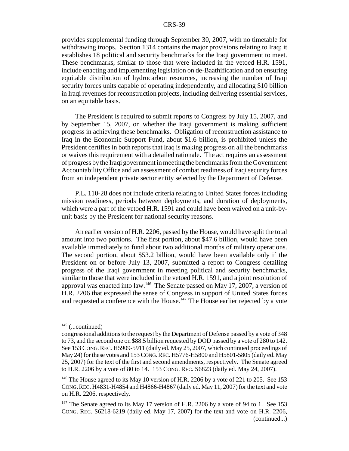provides supplemental funding through September 30, 2007, with no timetable for withdrawing troops. Section 1314 contains the major provisions relating to Iraq; it establishes 18 political and security benchmarks for the Iraqi government to meet. These benchmarks, similar to those that were included in the vetoed H.R. 1591, include enacting and implementing legislation on de-Baathification and on ensuring equitable distribution of hydrocarbon resources, increasing the number of Iraqi security forces units capable of operating independently, and allocating \$10 billion in Iraqi revenues for reconstruction projects, including delivering essential services, on an equitable basis.

The President is required to submit reports to Congress by July 15, 2007, and by September 15, 2007, on whether the Iraqi government is making sufficient progress in achieving these benchmarks. Obligation of reconstruction assistance to Iraq in the Economic Support Fund, about \$1.6 billion, is prohibited unless the President certifies in both reports that Iraq is making progress on all the benchmarks or waives this requirement with a detailed rationale. The act requires an assessment of progress by the Iraqi government in meeting the benchmarks from the Government Accountability Office and an assessment of combat readiness of Iraqi security forces from an independent private sector entity selected by the Department of Defense.

P.L. 110-28 does not include criteria relating to United States forces including mission readiness, periods between deployments, and duration of deployments, which were a part of the vetoed H.R. 1591 and could have been waived on a unit-byunit basis by the President for national security reasons.

An earlier version of H.R. 2206, passed by the House, would have split the total amount into two portions. The first portion, about \$47.6 billion, would have been available immediately to fund about two additional months of military operations. The second portion, about \$53.2 billion, would have been available only if the President on or before July 13, 2007, submitted a report to Congress detailing progress of the Iraqi government in meeting political and security benchmarks, similar to those that were included in the vetoed H.R. 1591, and a joint resolution of approval was enacted into law.<sup>146</sup> The Senate passed on May 17, 2007, a version of H.R. 2206 that expressed the sense of Congress in support of United States forces and requested a conference with the House.<sup>147</sup> The House earlier rejected by a vote

 $145$  (...continued)

congressional additions to the request by the Department of Defense passed by a vote of 348 to 73, and the second one on \$88.5 billion requested by DOD passed by a vote of 280 to 142. See 153 CONG. REC. H5909-5911 (daily ed. May 25, 2007, which continued proceedings of May 24) for these votes and 153 CONG.REC. H5776-H5800 and H5801-5805 (daily ed. May 25, 2007) for the text of the first and second amendments, respectively. The Senate agreed to H.R. 2206 by a vote of 80 to 14. 153 CONG. REC. S6823 (daily ed. May 24, 2007).

<sup>&</sup>lt;sup>146</sup> The House agreed to its May 10 version of H.R. 2206 by a vote of 221 to 205. See 153 CONG.REC. H4831-H4854 and H4866-H4867 (daily ed. May 11, 2007) for the text and vote on H.R. 2206, respectively.

 $147$  The Senate agreed to its May 17 version of H.R. 2206 by a vote of 94 to 1. See 153 CONG. REC. S6218-6219 (daily ed. May 17, 2007) for the text and vote on H.R. 2206, (continued...)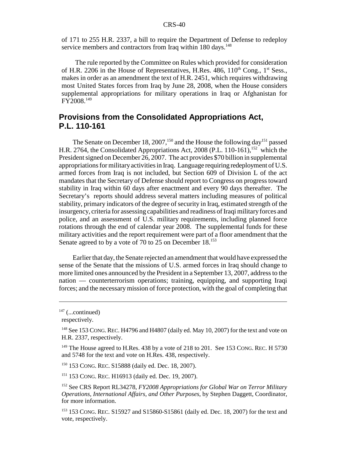of 171 to 255 H.R. 2337, a bill to require the Department of Defense to redeploy service members and contractors from Iraq within 180 days.<sup>148</sup>

The rule reported by the Committee on Rules which provided for consideration of H.R. 2206 in the House of Representatives, H.Res. 486,  $110^{th}$  Cong.,  $1^{st}$  Sess., makes in order as an amendment the text of H.R. 2451, which requires withdrawing most United States forces from Iraq by June 28, 2008, when the House considers supplemental appropriations for military operations in Iraq or Afghanistan for FY2008.149

## **Provisions from the Consolidated Appropriations Act, P.L. 110-161**

The Senate on December 18, 2007,<sup>150</sup> and the House the following day<sup>151</sup> passed H.R. 2764, the Consolidated Appropriations Act, 2008 (P.L. 110-161), <sup>152</sup> which the President signed on December 26, 2007. The act provides \$70 billion in supplemental appropriations for military activities in Iraq. Language requiring redeployment of U.S. armed forces from Iraq is not included, but Section 609 of Division L of the act mandates that the Secretary of Defense should report to Congress on progress toward stability in Iraq within 60 days after enactment and every 90 days thereafter. The Secretary's reports should address several matters including measures of political stability, primary indicators of the degree of security in Iraq, estimated strength of the insurgency, criteria for assessing capabilities and readiness of Iraqi military forces and police, and an assessment of U.S. military requirements, including planned force rotations through the end of calendar year 2008. The supplemental funds for these military activities and the report requirement were part of a floor amendment that the Senate agreed to by a vote of 70 to 25 on December 18.<sup>153</sup>

Earlier that day, the Senate rejected an amendment that would have expressed the sense of the Senate that the missions of U.S. armed forces in Iraq should change to more limited ones announced by the President in a September 13, 2007, address to the nation — counterterrorism operations; training, equipping, and supporting Iraqi forces; and the necessary mission of force protection, with the goal of completing that

150 153 CONG. REC. S15888 (daily ed. Dec. 18, 2007).

151 153 CONG. REC. H16913 (daily ed. Dec. 19, 2007).

 $147$  (...continued)

respectively.

<sup>&</sup>lt;sup>148</sup> See 153 CONG. REC. H4796 and H4807 (daily ed. May 10, 2007) for the text and vote on H.R. 2337, respectively.

 $149$  The House agreed to H.Res. 438 by a vote of 218 to 201. See 153 CONG. REC. H 5730 and 5748 for the text and vote on H.Res. 438, respectively.

<sup>152</sup> See CRS Report RL34278, *FY2008 Appropriations for Global War on Terror Military Operations, International Affairs, and Other Purposes*, by Stephen Daggett, Coordinator, for more information.

<sup>153 153</sup> CONG. REC. S15927 and S15860-S15861 (daily ed. Dec. 18, 2007) for the text and vote, respectively.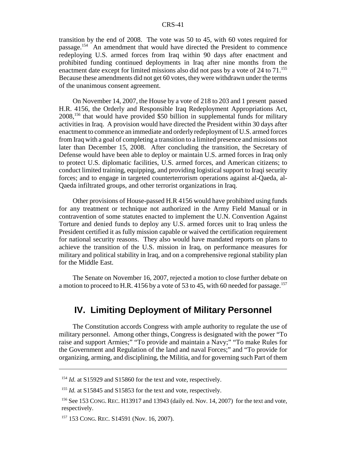transition by the end of 2008. The vote was 50 to 45, with 60 votes required for passage.154 An amendment that would have directed the President to commence redeploying U.S. armed forces from Iraq within 90 days after enactment and prohibited funding continued deployments in Iraq after nine months from the enactment date except for limited missions also did not pass by a vote of  $24$  to  $71$ .<sup>155</sup> Because these amendments did not get 60 votes, they were withdrawn under the terms of the unanimous consent agreement.

On November 14, 2007, the House by a vote of 218 to 203 and 1 present passed H.R. 4156, the Orderly and Responsible Iraq Redeployment Appropriations Act, 2008,156 that would have provided \$50 billion in supplemental funds for military activities in Iraq. A provision would have directed the President within 30 days after enactment to commence an immediate and orderly redeployment of U.S. armed forces from Iraq with a goal of completing a transition to a limited presence and missions not later than December 15, 2008. After concluding the transition, the Secretary of Defense would have been able to deploy or maintain U.S. armed forces in Iraq only to protect U.S. diplomatic facilities, U.S. armed forces, and American citizens; to conduct limited training, equipping, and providing logistical support to Iraqi security forces; and to engage in targeted counterterrorism operations against al-Qaeda, al-Qaeda infiltrated groups, and other terrorist organizations in Iraq.

Other provisions of House-passed H.R 4156 would have prohibited using funds for any treatment or technique not authorized in the Army Field Manual or in contravention of some statutes enacted to implement the U.N. Convention Against Torture and denied funds to deploy any U.S. armed forces unit to Iraq unless the President certified it as fully mission capable or waived the certification requirement for national security reasons. They also would have mandated reports on plans to achieve the transition of the U.S. mission in Iraq, on performance measures for military and political stability in Iraq, and on a comprehensive regional stability plan for the Middle East.

The Senate on November 16, 2007, rejected a motion to close further debate on a motion to proceed to H.R. 4156 by a vote of 53 to 45, with 60 needed for passage.<sup>157</sup>

## **IV. Limiting Deployment of Military Personnel**

The Constitution accords Congress with ample authority to regulate the use of military personnel. Among other things, Congress is designated with the power "To raise and support Armies;" "To provide and maintain a Navy;" "To make Rules for the Government and Regulation of the land and naval Forces;" and "To provide for organizing, arming, and disciplining, the Militia, and for governing such Part of them

<sup>&</sup>lt;sup>154</sup> *Id.* at S15929 and S15860 for the text and vote, respectively.

<sup>&</sup>lt;sup>155</sup> *Id.* at S15845 and S15853 for the text and vote, respectively.

 $156$  See 153 CONG. REC. H13917 and 13943 (daily ed. Nov. 14, 2007) for the text and vote, respectively.

<sup>&</sup>lt;sup>157</sup> 153 CONG. REC. S14591 (Nov. 16, 2007).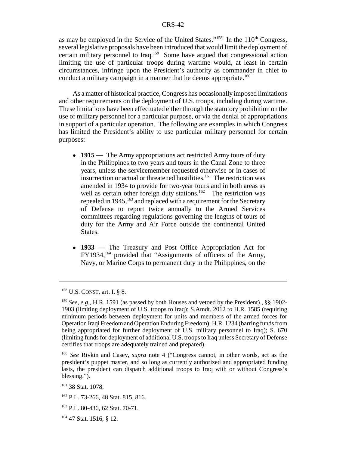as may be employed in the Service of the United States."<sup>158</sup> In the 110<sup>th</sup> Congress, several legislative proposals have been introduced that would limit the deployment of certain military personnel to Iraq.<sup>159</sup> Some have argued that congressional action limiting the use of particular troops during wartime would, at least in certain circumstances, infringe upon the President's authority as commander in chief to conduct a military campaign in a manner that he deems appropriate.<sup>160</sup>

As a matter of historical practice, Congress has occasionally imposed limitations and other requirements on the deployment of U.S. troops, including during wartime. These limitations have been effectuated either through the statutory prohibition on the use of military personnel for a particular purpose, or via the denial of appropriations in support of a particular operation. The following are examples in which Congress has limited the President's ability to use particular military personnel for certain purposes:

- **1915** The Army appropriations act restricted Army tours of duty in the Philippines to two years and tours in the Canal Zone to three years, unless the servicemember requested otherwise or in cases of insurrection or actual or threatened hostilities.<sup>161</sup> The restriction was amended in 1934 to provide for two-year tours and in both areas as well as certain other foreign duty stations.<sup>162</sup> The restriction was repealed in 1945,<sup>163</sup> and replaced with a requirement for the Secretary of Defense to report twice annually to the Armed Services committees regarding regulations governing the lengths of tours of duty for the Army and Air Force outside the continental United States.
- **1933** The Treasury and Post Office Appropriation Act for FY1934,<sup>164</sup> provided that "Assignments of officers of the Army, Navy, or Marine Corps to permanent duty in the Philippines, on the

<sup>158</sup> U.S. CONST. art. I, § 8.

<sup>159</sup> *See, e.g.,* H.R. 1591 (as passed by both Houses and vetoed by the President) , §§ 1902- 1903 (limiting deployment of U.S. troops to Iraq); S.Amdt. 2012 to H.R. 1585 (requiring minimum periods between deployment for units and members of the armed forces for Operation Iraqi Freedom and Operation Enduring Freedom); H.R. 1234 (barring funds from being appropriated for further deployment of U.S. military personnel to Iraq); S. 670 (limiting funds for deployment of additional U.S. troops to Iraq unless Secretary of Defense certifies that troops are adequately trained and prepared).

<sup>160</sup> *See* Rivkin and Casey, *supra* note 4 ("Congress cannot, in other words, act as the president's puppet master, and so long as currently authorized and appropriated funding lasts, the president can dispatch additional troops to Iraq with or without Congress's blessing.").

<sup>161 38</sup> Stat. 1078.

<sup>&</sup>lt;sup>162</sup> P.L. 73-266, 48 Stat. 815, 816.

<sup>163</sup> P.L. 80-436, 62 Stat. 70-71.

<sup>&</sup>lt;sup>164</sup> 47 Stat. 1516, § 12.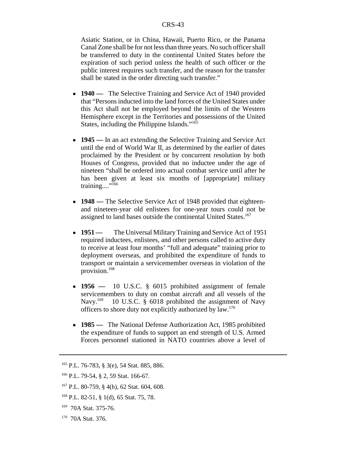Asiatic Station, or in China, Hawaii, Puerto Rico, or the Panama Canal Zone shall be for not less than three years. No such officer shall be transferred to duty in the continental United States before the expiration of such period unless the health of such officer or the public interest requires such transfer, and the reason for the transfer shall be stated in the order directing such transfer."

- **1940** The Selective Training and Service Act of 1940 provided that "Persons inducted into the land forces of the United States under this Act shall not be employed beyond the limits of the Western Hemisphere except in the Territories and possessions of the United States, including the Philippine Islands."165
- **1945** In an act extending the Selective Training and Service Act until the end of World War II, as determined by the earlier of dates proclaimed by the President or by concurrent resolution by both Houses of Congress, provided that no inductee under the age of nineteen "shall be ordered into actual combat service until after he has been given at least six months of [appropriate] military training...."<sup>166</sup>
- **1948** The Selective Service Act of 1948 provided that eighteenand nineteen-year old enlistees for one-year tours could not be assigned to land bases outside the continental United States.<sup>167</sup>
- **1951** The Universal Military Training and Service Act of 1951 required inductees, enlistees, and other persons called to active duty to receive at least four months' "full and adequate" training prior to deployment overseas, and prohibited the expenditure of funds to transport or maintain a servicemember overseas in violation of the provision.168
- **1956** 10 U.S.C. § 6015 prohibited assignment of female servicemembers to duty on combat aircraft and all vessels of the Navy.<sup>169</sup> 10 U.S.C.  $\S$  6018 prohibited the assignment of Navy 10 U.S.C.  $\S$  6018 prohibited the assignment of Navy officers to shore duty not explicitly authorized by law.170
- **1985** The National Defense Authorization Act, 1985 prohibited the expenditure of funds to support an end strength of U.S. Armed Forces personnel stationed in NATO countries above a level of

- 166 P.L. 79-54, § 2, 59 Stat. 166-67.
- 167 P.L. 80-759, § 4(h), 62 Stat. 604, 608.
- 168 P.L. 82-51, § 1(d), 65 Stat. 75, 78.
- 169 70A Stat. 375-76.
- <sup>170</sup> 70A Stat. 376.

<sup>165</sup> P.L. 76-783, § 3(e), 54 Stat. 885, 886.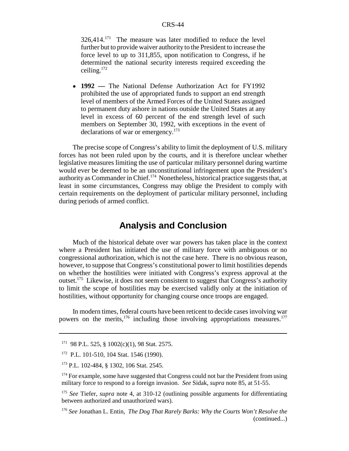$326,414$ <sup>171</sup> The measure was later modified to reduce the level further but to provide waiver authority to the President to increase the force level to up to 311,855, upon notification to Congress, if he determined the national security interests required exceeding the ceiling.172

• **1992** — The National Defense Authorization Act for FY1992 prohibited the use of appropriated funds to support an end strength level of members of the Armed Forces of the United States assigned to permanent duty ashore in nations outside the United States at any level in excess of 60 percent of the end strength level of such members on September 30, 1992, with exceptions in the event of declarations of war or emergency.<sup>173</sup>

The precise scope of Congress's ability to limit the deployment of U.S. military forces has not been ruled upon by the courts, and it is therefore unclear whether legislative measures limiting the use of particular military personnel during wartime would ever be deemed to be an unconstitutional infringement upon the President's authority as Commander in Chief.<sup>174</sup> Nonetheless, historical practice suggests that, at least in some circumstances, Congress may oblige the President to comply with certain requirements on the deployment of particular military personnel, including during periods of armed conflict.

## **Analysis and Conclusion**

Much of the historical debate over war powers has taken place in the context where a President has initiated the use of military force with ambiguous or no congressional authorization, which is not the case here. There is no obvious reason, however, to suppose that Congress's constitutional power to limit hostilities depends on whether the hostilities were initiated with Congress's express approval at the outset.175 Likewise, it does not seem consistent to suggest that Congress's authority to limit the scope of hostilities may be exercised validly only at the initiation of hostilities, without opportunity for changing course once troops are engaged.

In modern times, federal courts have been reticent to decide cases involving war powers on the merits,<sup>176</sup> including those involving appropriations measures.<sup>177</sup>

<sup>&</sup>lt;sup>171</sup> 98 P.L. 525, § 1002(c)(1), 98 Stat. 2575.

<sup>&</sup>lt;sup>172</sup> P.L. 101-510, 104 Stat. 1546 (1990).

<sup>173</sup> P.L. 102-484, § 1302, 106 Stat. 2545.

 $174$  For example, some have suggested that Congress could not bar the President from using military force to respond to a foreign invasion. *See* Sidak, *supra* note 85, at 51-55.

<sup>175</sup> *See* Tiefer, *supra* note 4, at 310-12 (outlining possible arguments for differentiating between authorized and unauthorized wars).

<sup>176</sup> *See* Jonathan L. Entin, *The Dog That Rarely Barks: Why the Courts Won't Resolve the* (continued...)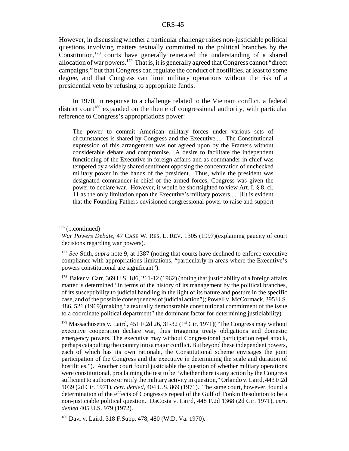However, in discussing whether a particular challenge raises non-justiciable political questions involving matters textually committed to the political branches by the Constitution, $178$  courts have generally reiterated the understanding of a shared allocation of war powers.179 That is, it is generally agreed that Congress cannot "direct campaigns," but that Congress can regulate the conduct of hostilities, at least to some degree, and that Congress can limit military operations without the risk of a presidential veto by refusing to appropriate funds.

In 1970, in response to a challenge related to the Vietnam conflict, a federal district court<sup>180</sup> expanded on the theme of congressional authority, with particular reference to Congress's appropriations power:

The power to commit American military forces under various sets of circumstances is shared by Congress and the Executive.... The Constitutional expression of this arrangement was not agreed upon by the Framers without considerable debate and compromise. A desire to facilitate the independent functioning of the Executive in foreign affairs and as commander-in-chief was tempered by a widely shared sentiment opposing the concentration of unchecked military power in the hands of the president. Thus, while the president was designated commander-in-chief of the armed forces, Congress was given the power to declare war. However, it would be shortsighted to view Art. I, § 8, cl. 11 as the only limitation upon the Executive's military powers.... [I]t is evident that the Founding Fathers envisioned congressional power to raise and support

 $178$  Baker v. Carr, 369 U.S. 186, 211-12 (1962) (noting that justiciability of a foreign affairs matter is determined "in terms of the history of its management by the political branches, of its susceptibility to judicial handling in the light of its nature and posture in the specific case, and of the possible consequences of judicial action"); Powell v. McCormack, 395 U.S. 486, 521 (1969)(making "a textually demonstrable constitutional commitment of the issue to a coordinate political department" the dominant factor for determining justiciability).

 $179$  Massachusetts v. Laird, 451 F.2d 26, 31-32 ( $1<sup>st</sup>$  Cir. 1971)("The Congress may without executive cooperation declare war, thus triggering treaty obligations and domestic emergency powers. The executive may without Congressional participation repel attack, perhaps catapulting the country into a major conflict. But beyond these independent powers, each of which has its own rationale, the Constitutional scheme envisages the joint participation of the Congress and the executive in determining the scale and duration of hostilities."). Another court found justiciable the question of whether military operations were constitutional, proclaiming the test to be "whether there is any action by the Congress sufficient to authorize or ratify the military activity in question," Orlando v. Laird, 443 F.2d 1039 (2d Cir. 1971), *cert. denied*, 404 U.S. 869 (1971). The same court, however, found a determination of the effects of Congress's repeal of the Gulf of Tonkin Resolution to be a non-justiciable political question. DaCosta v. Laird, 448 F.2d 1368 (2d Cir. 1971), *cert. denied* 405 U.S. 979 (1972).

180 Davi v. Laird, 318 F.Supp. 478, 480 (W.D. Va. 1970).

 $176$  (...continued)

*War Powers Debate*, 47 CASE W. RES. L. REV. 1305 (1997)(explaining paucity of court decisions regarding war powers).

<sup>177</sup> *See* Stith, *supra* note 9, at 1387 (noting that courts have declined to enforce executive compliance with appropriations limitations, "particularly in areas where the Executive's powers constitutional are significant").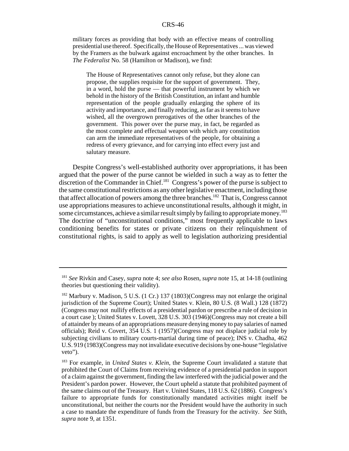military forces as providing that body with an effective means of controlling presidential use thereof. Specifically, the House of Representatives ... was viewed by the Framers as the bulwark against encroachment by the other branches. In *The Federalist* No. 58 (Hamilton or Madison), we find:

The House of Representatives cannot only refuse, but they alone can propose, the supplies requisite for the support of government. They, in a word, hold the purse — that powerful instrument by which we behold in the history of the British Constitution, an infant and humble representation of the people gradually enlarging the sphere of its activity and importance, and finally reducing, as far as it seems to have wished, all the overgrown prerogatives of the other branches of the government. This power over the purse may, in fact, be regarded as the most complete and effectual weapon with which any constitution can arm the immediate representatives of the people, for obtaining a redress of every grievance, and for carrying into effect every just and salutary measure.

Despite Congress's well-established authority over appropriations, it has been argued that the power of the purse cannot be wielded in such a way as to fetter the discretion of the Commander in Chief.<sup>181</sup> Congress's power of the purse is subject to the same constitutional restrictions as any other legislative enactment, including those that affect allocation of powers among the three branches.<sup>182</sup> That is, Congress cannot use appropriations measures to achieve unconstitutional results, although it might, in some circumstances, achieve a similar result simply by failing to appropriate money.<sup>183</sup> The doctrine of "unconstitutional conditions," most frequently applicable to laws conditioning benefits for states or private citizens on their relinquishment of constitutional rights, is said to apply as well to legislation authorizing presidential

<sup>181</sup> *See* Rivkin and Casey, *supra* note 4; *see also* Rosen, *supra* note 15, at 14-18 (outlining theories but questioning their validity).

<sup>&</sup>lt;sup>182</sup> Marbury v. Madison, 5 U.S. (1 Cr.) 137 (1803)(Congress may not enlarge the original jurisdiction of the Supreme Court); United States v. Klein, 80 U.S. (8 Wall.) 128 (1872) (Congress may not nullify effects of a presidential pardon or prescribe a rule of decision in a court case ); United States v. Lovett, 328 U.S. 303 (1946)(Congress may not create a bill of attainder by means of an appropriations measure denying money to pay salaries of named officials); Reid v. Covert, 354 U.S. 1 (1957)(Congress may not displace judicial role by subjecting civilians to military courts-martial during time of peace); INS v. Chadha, 462 U.S. 919 (1983)(Congress may not invalidate executive decisions by one-house "legislative veto").

<sup>183</sup> For example, in *United States v. Klein*, the Supreme Court invalidated a statute that prohibited the Court of Claims from receiving evidence of a presidential pardon in support of a claim against the government, finding the law interfered with the judicial power and the President's pardon power. However, the Court upheld a statute that prohibited payment of the same claims out of the Treasury. Hart v. United States, 118 U.S. 62 (1886). Congress's failure to appropriate funds for constitutionally mandated activities might itself be unconstitutional, but neither the courts nor the President would have the authority in such a case to mandate the expenditure of funds from the Treasury for the activity. *See* Stith, *supra* note 9, at 1351.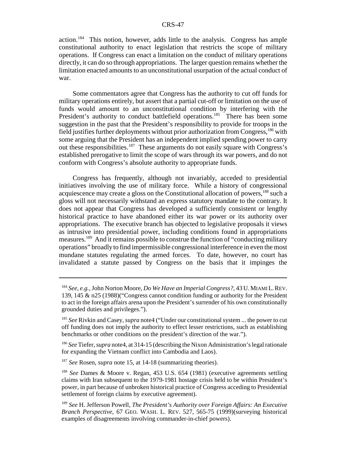action.184 This notion, however, adds little to the analysis. Congress has ample constitutional authority to enact legislation that restricts the scope of military operations. If Congress can enact a limitation on the conduct of military operations directly, it can do so through appropriations. The larger question remains whether the limitation enacted amounts to an unconstitutional usurpation of the actual conduct of war.

Some commentators agree that Congress has the authority to cut off funds for military operations entirely, but assert that a partial cut-off or limitation on the use of funds would amount to an unconstitutional condition by interfering with the President's authority to conduct battlefield operations.<sup>185</sup> There has been some suggestion in the past that the President's responsibility to provide for troops in the field justifies further deployments without prior authorization from Congress,186 with some arguing that the President has an independent implied spending power to carry out these responsibilities.187 These arguments do not easily square with Congress's established prerogative to limit the scope of wars through its war powers, and do not conform with Congress's absolute authority to appropriate funds.

Congress has frequently, although not invariably, acceded to presidential initiatives involving the use of military force. While a history of congressional acquiescence may create a gloss on the Constitutional allocation of powers,<sup>188</sup> such a gloss will not necessarily withstand an express statutory mandate to the contrary. It does not appear that Congress has developed a sufficiently consistent or lengthy historical practice to have abandoned either its war power or its authority over appropriations. The executive branch has objected to legislative proposals it views as intrusive into presidential power, including conditions found in appropriations measures.189 And it remains possible to construe the function of "conducting military operations" broadly to find impermissible congressional interference in even the most mundane statutes regulating the armed forces. To date, however, no court has invalidated a statute passed by Congress on the basis that it impinges the

<sup>184</sup> *See, e.g.,* John Norton Moore, *Do We Have an Imperial Congress?*, 43 U. MIAMI L. REV. 139, 145 & n25 (1988)("Congress cannot condition funding or authority for the President to act in the foreign affairs arena upon the President's surrender of his own constitutionally grounded duties and privileges.").

<sup>185</sup> *See* Rivkin and Casey, *supra* note4 ("Under our constitutional system ... the power to cut off funding does not imply the authority to effect lesser restrictions, such as establishing benchmarks or other conditions on the president's direction of the war.").

<sup>186</sup> *See* Tiefer, *supra* note4, at 314-15 (describing the Nixon Administration's legal rationale for expanding the Vietnam conflict into Cambodia and Laos).

<sup>187</sup> *See* Rosen, *supra* note 15, at 14-18 (summarizing theories).

<sup>188</sup> *See* Dames & Moore v. Regan, 453 U.S. 654 (1981) (executive agreements settling claims with Iran subsequent to the 1979-1981 hostage crisis held to be within President's power, in part because of unbroken historical practice of Congress acceding to Presidential settlement of foreign claims by executive agreement).

<sup>189</sup> *See* H. Jefferson Powell, *The President's Authority over Foreign Affairs: An Executive Branch Perspective*, 67 GEO. WASH. L. REV. 527, 565-75 (1999)(surveying historical examples of disagreements involving commander-in-chief powers).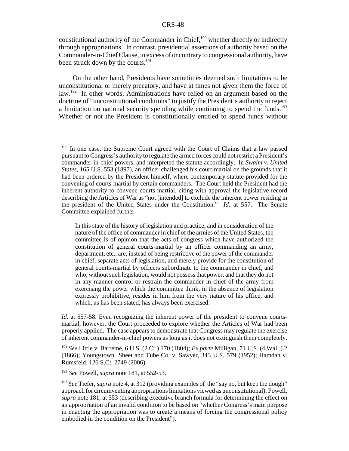constitutional authority of the Commander in Chief, $190$  whether directly or indirectly through appropriations. In contrast, presidential assertions of authority based on the Commander-in-Chief Clause, in excess of or contrary to congressional authority, have been struck down by the courts.<sup>191</sup>

On the other hand, Presidents have sometimes deemed such limitations to be unconstitutional or merely precatory, and have at times not given them the force of law.<sup>192</sup> In other words, Administrations have relied on an argument based on the doctrine of "unconstitutional conditions" to justify the President's authority to reject a limitation on national security spending while continuing to spend the funds.<sup>193</sup> Whether or not the President is constitutionally entitled to spend funds without

*Id.* at 557-58. Even recognizing the inherent power of the president to convene courtsmartial, however, the Court proceeded to explore whether the Articles of War had been properly applied. The case appears to demonstrate that Congress may regulate the exercise of inherent commander-in-chief powers as long as it does not extinguish them completely.

<sup>191</sup> *See* Little v. Barreme, 6 U.S. (2 Cr.) 170 (1804); *Ex parte* Milligan, 71 U.S. (4 Wall.) 2 (1866); Youngstown Sheet and Tube Co. v. Sawyer, 343 U.S. 579 (1952); Hamdan v. Rumsfeld, 126 S.Ct. 2749 (2006).

<sup>192</sup> *See* Powell*, supra* note 181, at 552-53.

 $190$  In one case, the Supreme Court agreed with the Court of Claims that a law passed pursuant to Congress's authority to regulate the armed forces could not restrict a President's commander-in-chief powers, and interpreted the statute accordingly. In *Swaim v. United States*, 165 U.S. 553 (1897), an officer challenged his court-martial on the grounds that it had been ordered by the President himself, where contemporary statute provided for the convening of courts-martial by certain commanders. The Court held the President had the inherent authority to convene courts-martial, citing with approval the legislative record describing the Articles of War as "not [intended] to exclude the inherent power residing in the president of the United States under the Constitution." *Id.* at 557. The Senate Committee explained further

In this state of the history of legislation and practice, and in consideration of the nature of the office of commander in chief of the armies of the United States, the committee is of opinion that the acts of congress which have authorized the constitution of general courts-martial by an officer commanding an army, department, etc., are, instead of being restrictive of the power of the commander in chief, separate acts of legislation, and merely provide for the constitution of general courts-martial by officers subordinate to the commander in chief, and who, without such legislation, would not possess that power, and that they do not in any manner control or restrain the commander in chief of the army from exercising the power which the committee think, in the absence of legislation expressly prohibitive, resides in him from the very nature of his office, and which, as has been stated, has always been exercised.

<sup>&</sup>lt;sup>193</sup> See Tiefer, *supra* note 4, at 312 (providing examples of the "say no, but keep the dough" approach for circumventing appropriations limitations viewed as unconstitutional); Powell, *supra* note 181, at 553 (describing executive branch formula for determining the effect on an appropriation of an invalid condition to be based on "whether Congress's main purpose in enacting the appropriation was to create a means of forcing the congressional policy embodied in the condition on the President").